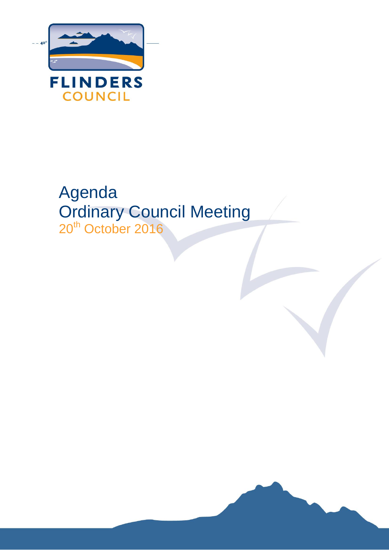

# Agenda Ordinary Council Meeting 20<sup>th</sup> October 2016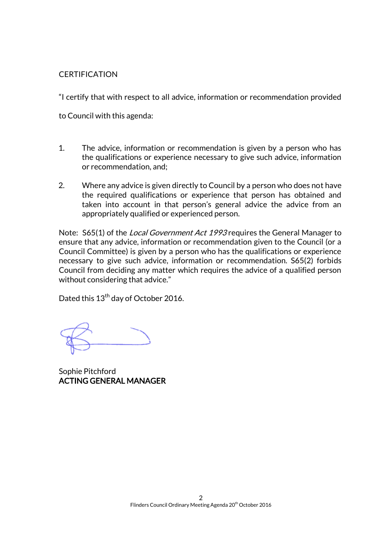#### **CERTIFICATION**

"I certify that with respect to all advice, information or recommendation provided

to Council with this agenda:

- 1. The advice, information or recommendation is given by a person who has the qualifications or experience necessary to give such advice, information or recommendation, and;
- 2. Where any advice is given directly to Council by a person who does not have the required qualifications or experience that person has obtained and taken into account in that person's general advice the advice from an appropriately qualified or experienced person.

Note: S65(1) of the *Local Government Act 1993* requires the General Manager to ensure that any advice, information or recommendation given to the Council (or a Council Committee) is given by a person who has the qualifications or experience necessary to give such advice, information or recommendation. S65(2) forbids Council from deciding any matter which requires the advice of a qualified person without considering that advice."

Dated this 13<sup>th</sup> day of October 2016.

Sophie Pitchford ACTING GENERAL MANAGER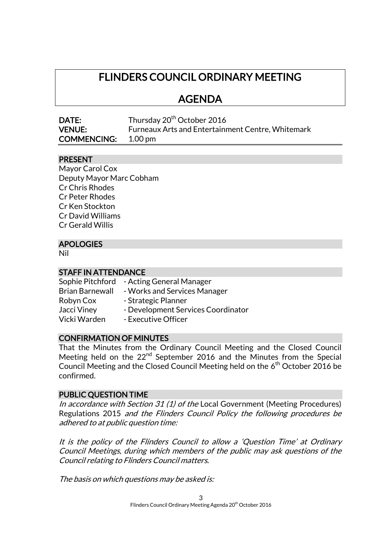## FLINDERS COUNCIL ORDINARY MEETING

## AGENDA

| DATE:              | Thursday 20 <sup>th</sup> October 2016                   |
|--------------------|----------------------------------------------------------|
| <b>VENUE:</b>      | <b>Furneaux Arts and Entertainment Centre, Whitemark</b> |
| <b>COMMENCING:</b> | 1.00 pm                                                  |

#### PRESENT

| Mayor Carol Cox          |
|--------------------------|
| Deputy Mayor Marc Cobham |
| <b>Cr Chris Rhodes</b>   |
| <b>Cr Peter Rhodes</b>   |
| Cr Ken Stockton          |
| <b>Cr David Williams</b> |
| <b>Cr Gerald Willis</b>  |

### APOLOGIES

Nil

#### STAFF IN ATTENDANCE

Sophie Pitchford - Acting General Manager Brian Barnewall - Works and Services Manager Robyn Cox - Strategic Planner Jacci Viney - Development Services Coordinator Vicki Warden - Executive Officer

#### CONFIRMATION OF MINUTES

That the Minutes from the Ordinary Council Meeting and the Closed Council Meeting held on the 22<sup>nd</sup> September 2016 and the Minutes from the Special Council Meeting and the Closed Council Meeting held on the 6<sup>th</sup> October 2016 be confirmed.

#### PUBLIC QUESTION TIME

In accordance with Section 31 (1) of the Local Government (Meeting Procedures) Regulations 2015 and the Flinders Council Policy the following procedures be adhered to at public question time:

It is the policy of the Flinders Council to allow a 'Question Time' at Ordinary Council Meetings, during which members of the public may ask questions of the Council relating to Flinders Council matters.

The basis on which questions may be asked is: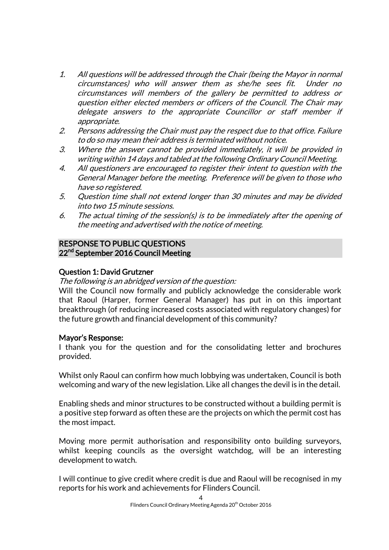- 1. All questions will be addressed through the Chair (being the Mayor in normal circumstances) who will answer them as she/he sees fit. Under no circumstances will members of the gallery be permitted to address or question either elected members or officers of the Council. The Chair may delegate answers to the appropriate Councillor or staff member if appropriate.
- 2. Persons addressing the Chair must pay the respect due to that office. Failure to do so may mean their address is terminated without notice.
- 3. Where the answer cannot be provided immediately, it will be provided in writing within 14 days and tabled at the following Ordinary Council Meeting.
- 4. All questioners are encouraged to register their intent to question with the General Manager before the meeting. Preference will be given to those who have so registered.
- 5. Question time shall not extend longer than 30 minutes and may be divided into two 15 minute sessions.
- 6. The actual timing of the session(s) is to be immediately after the opening of the meeting and advertised with the notice of meeting.

#### RESPONSE TO PUBLIC QUESTIONS 22<sup>nd</sup> September 2016 Council Meeting

### Question 1: David Grutzner

#### The following is an abridged version of the question:

Will the Council now formally and publicly acknowledge the considerable work that Raoul (Harper, former General Manager) has put in on this important breakthrough (of reducing increased costs associated with regulatory changes) for the future growth and financial development of this community?

#### Mayor's Response:

I thank you for the question and for the consolidating letter and brochures provided.

Whilst only Raoul can confirm how much lobbying was undertaken, Council is both welcoming and wary of the new legislation. Like all changes the devil is in the detail.

Enabling sheds and minor structures to be constructed without a building permit is a positive step forward as often these are the projects on which the permit cost has the most impact.

Moving more permit authorisation and responsibility onto building surveyors, whilst keeping councils as the oversight watchdog, will be an interesting development to watch.

I will continue to give credit where credit is due and Raoul will be recognised in my reports for his work and achievements for Flinders Council.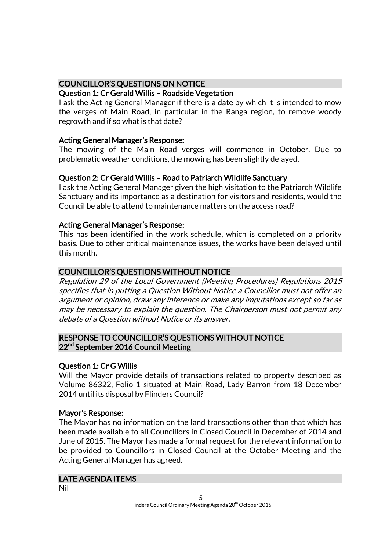#### COUNCILLOR'S QUESTIONS ON NOTICE

#### Question 1: Cr Gerald Willis – Roadside Vegetation

I ask the Acting General Manager if there is a date by which it is intended to mow the verges of Main Road, in particular in the Ranga region, to remove woody regrowth and if so what is that date?

#### Acting General Manager's Response:

The mowing of the Main Road verges will commence in October. Due to problematic weather conditions, the mowing has been slightly delayed.

#### Question 2: Cr Gerald Willis – Road to Patriarch Wildlife Sanctuary

I ask the Acting General Manager given the high visitation to the Patriarch Wildlife Sanctuary and its importance as a destination for visitors and residents, would the Council be able to attend to maintenance matters on the access road?

#### Acting General Manager's Response:

This has been identified in the work schedule, which is completed on a priority basis. Due to other critical maintenance issues, the works have been delayed until this month.

#### COUNCILLOR'S QUESTIONS WITHOUT NOTICE

Regulation 29 of the Local Government (Meeting Procedures) Regulations 2015 specifies that in putting a Question Without Notice a Councillor must not offer an argument or opinion, draw any inference or make any imputations except so far as may be necessary to explain the question. The Chairperson must not permit any debate of a Question without Notice or its answer.

#### RESPONSE TO COUNCILLOR'S QUESTIONS WITHOUT NOTICE 22<sup>nd</sup> September 2016 Council Meeting

#### Question 1: Cr G Willis

Will the Mayor provide details of transactions related to property described as Volume 86322, Folio 1 situated at Main Road, Lady Barron from 18 December 2014 until its disposal by Flinders Council?

#### Mayor's Response:

The Mayor has no information on the land transactions other than that which has been made available to all Councillors in Closed Council in December of 2014 and June of 2015. The Mayor has made a formal request for the relevant information to be provided to Councillors in Closed Council at the October Meeting and the Acting General Manager has agreed.

#### LATE AGENDA ITEMS

Nil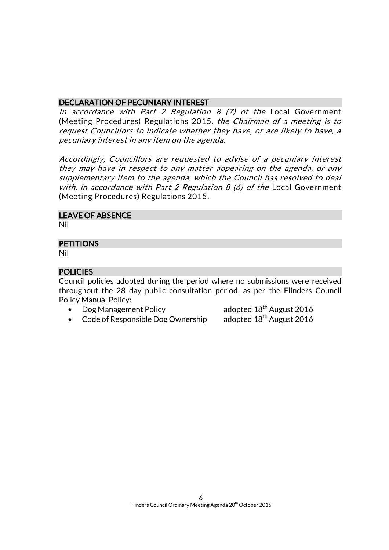#### DECLARATION OF PECUNIARY INTEREST

In accordance with Part 2 Regulation  $8$  (7) of the Local Government (Meeting Procedures) Regulations 2015, the Chairman of a meeting is to request Councillors to indicate whether they have, or are likely to have, a pecuniary interest in any item on the agenda.

Accordingly, Councillors are requested to advise of a pecuniary interest they may have in respect to any matter appearing on the agenda, or any supplementary item to the agenda, which the Council has resolved to deal with, in accordance with Part 2 Regulation  $8$  (6) of the Local Government (Meeting Procedures) Regulations 2015.

#### LEAVE OF ABSENCE

Nil

## **PETITIONS**

Nil

#### **POLICIES**

Council policies adopted during the period where no submissions were received throughout the 28 day public consultation period, as per the Flinders Council Policy Manual Policy:

• Dog Management Policy adopted  $18^{th}$  August 2016<br>• Code of Responsible Dog Ownership adopted  $18^{th}$  August 2016

 $\bullet$  Code of Responsible Dog Ownership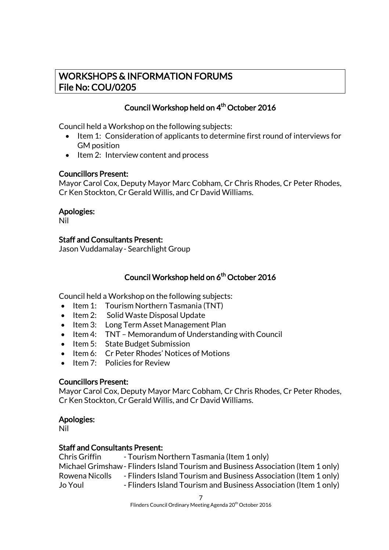## WORKSHOPS & INFORMATION FORUMS File No: COU/0205

### Council Workshop held on 4<sup>th</sup> October 2016

Council held a Workshop on the following subjects:

- Item 1: Consideration of applicants to determine first round of interviews for GM position
- Item 2: Interview content and process

#### Councillors Present:

Mayor Carol Cox, Deputy Mayor Marc Cobham, Cr Chris Rhodes, Cr Peter Rhodes, Cr Ken Stockton, Cr Gerald Willis, and Cr David Williams.

#### Apologies:

Nil

#### Staff and Consultants Present:

Jason Vuddamalay- Searchlight Group

#### Council Workshop held on 6<sup>th</sup> October 2016

Council held a Workshop on the following subjects:

- $\bullet$  Item 1: Tourism Northern Tasmania (TNT)
- Item 2: Solid Waste Disposal Update
- Item 3: Long Term Asset Management Plan
- Item 4: TNT Memorandum of Understanding with Council
- Item 5: State Budget Submission
- Item 6: Cr Peter Rhodes' Notices of Motions
- Item 7: Policies for Review

#### Councillors Present:

Mayor Carol Cox, Deputy Mayor Marc Cobham, Cr Chris Rhodes, Cr Peter Rhodes, Cr Ken Stockton, Cr Gerald Willis, and Cr David Williams.

#### Apologies:

Nil

#### Staff and Consultants Present:

| Chris Griffin  | - Tourism Northern Tasmania (Item 1 only)                                         |
|----------------|-----------------------------------------------------------------------------------|
|                | Michael Grimshaw - Flinders Island Tourism and Business Association (Item 1 only) |
| Rowena Nicolls | - Flinders Island Tourism and Business Association (Item 1 only)                  |
| Jo Youl        | - Flinders Island Tourism and Business Association (Item 1 only)                  |

7 Flinders Council Ordinary Meeting Agenda 20<sup>th</sup> October 2016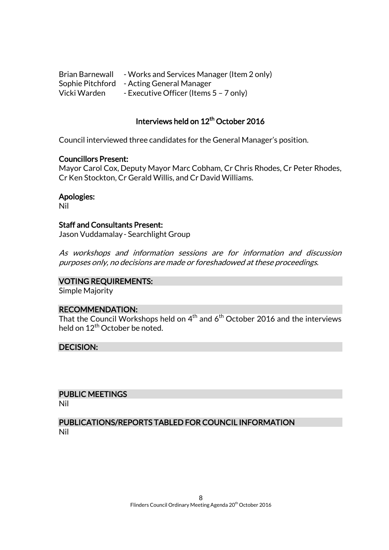Brian Barnewall - Works and Services Manager (Item 2 only) Sophie Pitchford - Acting General Manager Vicki Warden - Executive Officer (Items 5 - 7 only)

#### Interviews held on 12<sup>th</sup> October 2016

Council interviewed three candidates for the General Manager's position.

#### Councillors Present:

Mayor Carol Cox, Deputy Mayor Marc Cobham, Cr Chris Rhodes, Cr Peter Rhodes, Cr Ken Stockton, Cr Gerald Willis, and Cr David Williams.

Apologies:

Nil

#### Staff and Consultants Present:

Jason Vuddamalay- Searchlight Group

As workshops and information sessions are for information and discussion purposes only, no decisions are made or foreshadowed at these proceedings.

#### VOTING REQUIREMENTS:

Simple Majority

#### RECOMMENDATION:

That the Council Workshops held on  $4^{\text{th}}$  and  $6^{\text{th}}$  October 2016 and the interviews held on  $12^{th}$  October be noted.

#### DECISION:

#### PUBLIC MEETINGS

Nil

#### PUBLICATIONS/REPORTS TABLED FOR COUNCIL INFORMATION Nil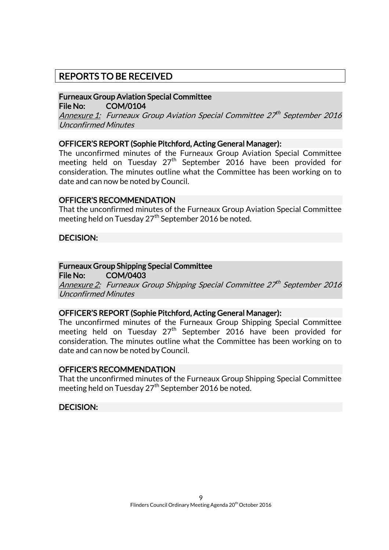## REPORTS TO BE RECEIVED

#### Furneaux Group Aviation Special Committee File No: COM/0104

Annexure 1: Furneaux Group Aviation Special Committee 27th September 2016 Unconfirmed Minutes

#### OFFICER'S REPORT (Sophie Pitchford, Acting General Manager):

The unconfirmed minutes of the Furneaux Group Aviation Special Committee meeting held on Tuesday  $27<sup>th</sup>$  September 2016 have been provided for consideration. The minutes outline what the Committee has been working on to date and can now be noted by Council.

#### OFFICER'S RECOMMENDATION

That the unconfirmed minutes of the Furneaux Group Aviation Special Committee meeting held on Tuesday 27<sup>th</sup> September 2016 be noted.

#### DECISION:

#### Furneaux Group Shipping Special Committee

File No: COM/0403

Annexure 2: Furneaux Group Shipping Special Committee 27<sup>th</sup> September 2016 Unconfirmed Minutes

#### OFFICER'S REPORT (Sophie Pitchford, Acting General Manager):

The unconfirmed minutes of the Furneaux Group Shipping Special Committee meeting held on Tuesday 27<sup>th</sup> September 2016 have been provided for consideration. The minutes outline what the Committee has been working on to date and can now be noted by Council.

#### OFFICER'S RECOMMENDATION

That the unconfirmed minutes of the Furneaux Group Shipping Special Committee meeting held on Tuesday 27<sup>th</sup> September 2016 be noted.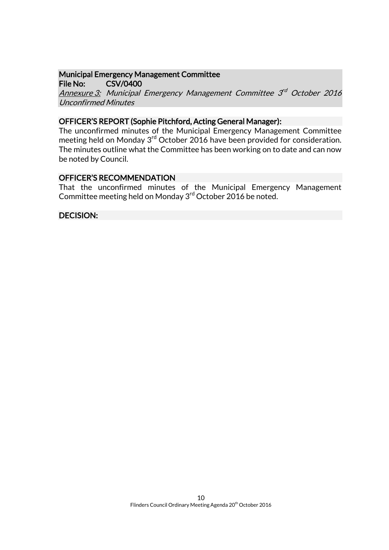## Municipal Emergency Management Committee

File No: CSV/0400

Annexure 3: Municipal Emergency Management Committee 3<sup>rd</sup> October 2016 Unconfirmed Minutes

#### OFFICER'S REPORT (Sophie Pitchford, Acting General Manager):

The unconfirmed minutes of the Municipal Emergency Management Committee meeting held on Monday 3<sup>rd</sup> October 2016 have been provided for consideration. The minutes outline what the Committee has been working on to date and can now be noted by Council.

#### OFFICER'S RECOMMENDATION

That the unconfirmed minutes of the Municipal Emergency Management Committee meeting held on Monday 3<sup>rd</sup> October 2016 be noted.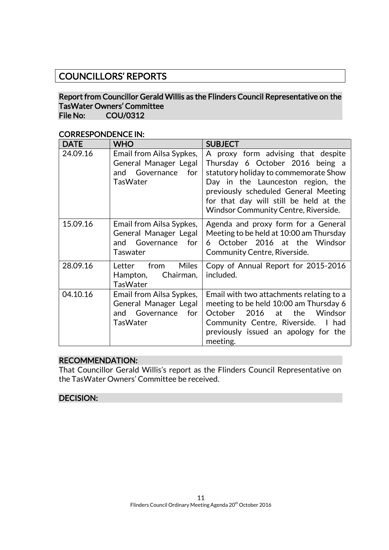## COUNCILLORS' REPORTS

#### Report from Councillor Gerald Willis as the Flinders Council Representative on the TasWater Owners' Committee File No: COU/0312

| <b>DATE</b> | <b>WHO</b>                                                                                       | <b>SUBJECT</b>                                                                                                                                                                                                                                                                       |
|-------------|--------------------------------------------------------------------------------------------------|--------------------------------------------------------------------------------------------------------------------------------------------------------------------------------------------------------------------------------------------------------------------------------------|
| 24.09.16    | Email from Ailsa Sypkes,<br>General Manager Legal<br>Governance<br>for<br>and<br><b>TasWater</b> | A proxy form advising that despite<br>Thursday 6 October 2016 being a<br>statutory holiday to commemorate Show<br>Day in the Launceston region, the<br>previously scheduled General Meeting<br>for that day will still be held at the<br><b>Windsor Community Centre, Riverside.</b> |
| 15.09.16    | Email from Ailsa Sypkes,<br>General Manager Legal<br>Governance for<br>and<br>Taswater           | Agenda and proxy form for a General<br>Meeting to be held at 10:00 am Thursday<br>6 October 2016 at the Windsor<br>Community Centre, Riverside.                                                                                                                                      |
| 28.09.16    | <b>Miles</b><br>from<br>Letter<br>Chairman,<br>Hampton,<br><b>TasWater</b>                       | Copy of Annual Report for 2015-2016<br>included.                                                                                                                                                                                                                                     |
| 04.10.16    | Email from Ailsa Sypkes,<br>General Manager Legal<br>Governance for<br>and<br><b>TasWater</b>    | Email with two attachments relating to a<br>meeting to be held 10:00 am Thursday 6<br>2016 at the Windsor<br>October<br>Community Centre, Riverside. I had<br>previously issued an apology for the<br>meeting.                                                                       |

### CORRESPONDENCE IN:

#### RECOMMENDATION:

That Councillor Gerald Willis's report as the Flinders Council Representative on the TasWater Owners' Committee be received.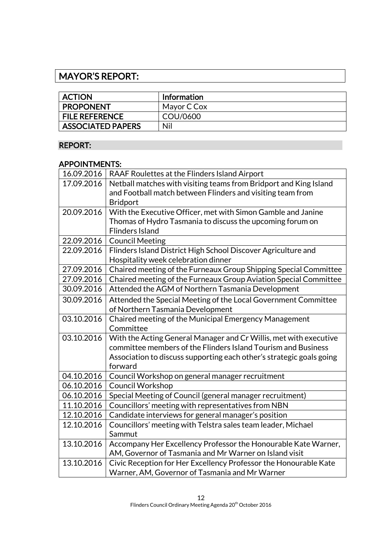## MAYOR'S REPORT:

| <b>ACTION</b>            | <b>Information</b> |
|--------------------------|--------------------|
| <b>PROPONENT</b>         | Mayor C Cox        |
| <b>FILE REFERENCE</b>    | COU/0600           |
| <b>ASSOCIATED PAPERS</b> | Nil                |

## REPORT:

#### APPOINTMENTS:

| 16.09.2016 | RAAF Roulettes at the Flinders Island Airport                        |
|------------|----------------------------------------------------------------------|
| 17.09.2016 | Netball matches with visiting teams from Bridport and King Island    |
|            | and Football match between Flinders and visiting team from           |
|            | <b>Bridport</b>                                                      |
| 20.09.2016 | With the Executive Officer, met with Simon Gamble and Janine         |
|            | Thomas of Hydro Tasmania to discuss the upcoming forum on            |
|            | <b>Flinders Island</b>                                               |
| 22.09.2016 | <b>Council Meeting</b>                                               |
| 22.09.2016 | Flinders Island District High School Discover Agriculture and        |
|            | Hospitality week celebration dinner                                  |
| 27.09.2016 | Chaired meeting of the Furneaux Group Shipping Special Committee     |
| 27.09.2016 | Chaired meeting of the Furneaux Group Aviation Special Committee     |
| 30.09.2016 | Attended the AGM of Northern Tasmania Development                    |
| 30.09.2016 | Attended the Special Meeting of the Local Government Committee       |
|            | of Northern Tasmania Development                                     |
| 03.10.2016 | Chaired meeting of the Municipal Emergency Management                |
|            | Committee                                                            |
| 03.10.2016 | With the Acting General Manager and Cr Willis, met with executive    |
|            | committee members of the Flinders Island Tourism and Business        |
|            | Association to discuss supporting each other's strategic goals going |
|            | forward                                                              |
| 04.10.2016 | Council Workshop on general manager recruitment                      |
| 06.10.2016 | <b>Council Workshop</b>                                              |
| 06.10.2016 | Special Meeting of Council (general manager recruitment)             |
| 11.10.2016 | Councillors' meeting with representatives from NBN                   |
| 12.10.2016 | Candidate interviews for general manager's position                  |
| 12.10.2016 | Councillors' meeting with Telstra sales team leader, Michael         |
|            | Sammut                                                               |
| 13.10.2016 | Accompany Her Excellency Professor the Honourable Kate Warner,       |
|            | AM, Governor of Tasmania and Mr Warner on Island visit               |
| 13.10.2016 | Civic Reception for Her Excellency Professor the Honourable Kate     |
|            | Warner, AM, Governor of Tasmania and Mr Warner                       |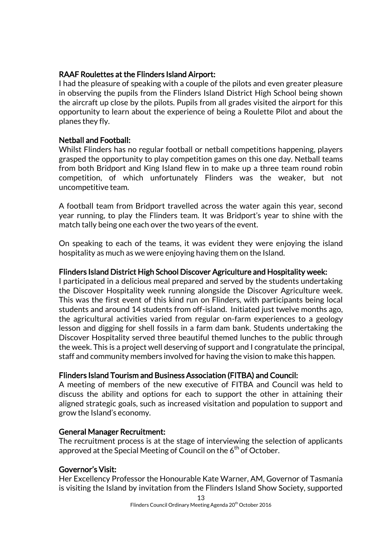#### RAAF Roulettes at the Flinders Island Airport:

I had the pleasure of speaking with a couple of the pilots and even greater pleasure in observing the pupils from the Flinders Island District High School being shown the aircraft up close by the pilots. Pupils from all grades visited the airport for this opportunity to learn about the experience of being a Roulette Pilot and about the planes they fly.

#### Netball and Football:

Whilst Flinders has no regular football or netball competitions happening, players grasped the opportunity to play competition games on this one day. Netball teams from both Bridport and King Island flew in to make up a three team round robin competition, of which unfortunately Flinders was the weaker, but not uncompetitive team.

A football team from Bridport travelled across the water again this year, second year running, to play the Flinders team. It was Bridport's year to shine with the match tally being one each over the two years of the event.

On speaking to each of the teams, it was evident they were enjoying the island hospitality as much as we were enjoying having them on the Island.

#### Flinders Island District High School Discover Agriculture and Hospitality week:

I participated in a delicious meal prepared and served by the students undertaking the Discover Hospitality week running alongside the Discover Agriculture week. This was the first event of this kind run on Flinders, with participants being local students and around 14 students from off-island. Initiated just twelve months ago, the agricultural activities varied from regular on-farm experiences to a geology lesson and digging for shell fossils in a farm dam bank. Students undertaking the Discover Hospitality served three beautiful themed lunches to the public through the week. This is a project well deserving of support and I congratulate the principal, staff and community members involved for having the vision to make this happen.

#### Flinders Island Tourism and Business Association (FITBA) and Council:

A meeting of members of the new executive of FITBA and Council was held to discuss the ability and options for each to support the other in attaining their aligned strategic goals, such as increased visitation and population to support and grow the Island's economy.

#### General Manager Recruitment:

The recruitment process is at the stage of interviewing the selection of applicants approved at the Special Meeting of Council on the  $6<sup>th</sup>$  of October.

#### Governor's Visit:

Her Excellency Professor the Honourable Kate Warner, AM, Governor of Tasmania is visiting the Island by invitation from the Flinders Island Show Society, supported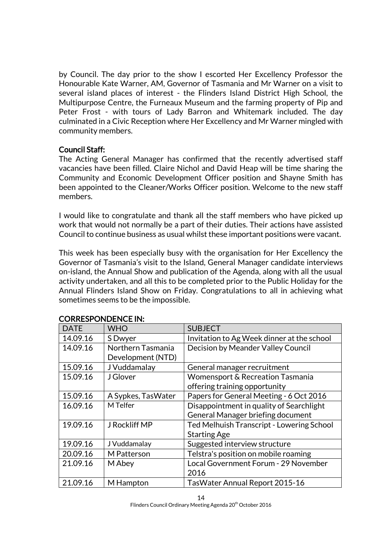by Council. The day prior to the show I escorted Her Excellency Professor the Honourable Kate Warner, AM, Governor of Tasmania and Mr Warner on a visit to several island places of interest - the Flinders Island District High School, the Multipurpose Centre, the Furneaux Museum and the farming property of Pip and Peter Frost - with tours of Lady Barron and Whitemark included. The day culminated in a Civic Reception where Her Excellency and Mr Warner mingled with community members.

#### Council Staff:

The Acting General Manager has confirmed that the recently advertised staff vacancies have been filled. Claire Nichol and David Heap will be time sharing the Community and Economic Development Officer position and Shayne Smith has been appointed to the Cleaner/Works Officer position. Welcome to the new staff members.

I would like to congratulate and thank all the staff members who have picked up work that would not normally be a part of their duties. Their actions have assisted Council to continue business as usual whilst these important positions were vacant.

This week has been especially busy with the organisation for Her Excellency the Governor of Tasmania's visit to the Island, General Manager candidate interviews on-island, the Annual Show and publication of the Agenda, along with all the usual activity undertaken, and all this to be completed prior to the Public Holiday for the Annual Flinders Island Show on Friday. Congratulations to all in achieving what sometimes seems to be the impossible.

| CONNEJE ONDERCE IN. |                    |                                            |
|---------------------|--------------------|--------------------------------------------|
| <b>DATE</b>         | <b>WHO</b>         | <b>SUBJECT</b>                             |
| 14.09.16            | S Dwyer            | Invitation to Ag Week dinner at the school |
| 14.09.16            | Northern Tasmania  | Decision by Meander Valley Council         |
|                     | Development (NTD)  |                                            |
| 15.09.16            | J Vuddamalay       | General manager recruitment                |
| 15.09.16            | J Glover           | Womensport & Recreation Tasmania           |
|                     |                    | offering training opportunity              |
| 15.09.16            | A Sypkes, TasWater | Papers for General Meeting - 6 Oct 2016    |
| 16.09.16            | M Telfer           | Disappointment in quality of Searchlight   |
|                     |                    | General Manager briefing document          |
| 19.09.16            | J Rockliff MP      | Ted Melhuish Transcript - Lowering School  |
|                     |                    | <b>Starting Age</b>                        |
| 19.09.16            | J Vuddamalay       | Suggested interview structure              |
| 20.09.16            | M Patterson        | Telstra's position on mobile roaming       |
| 21.09.16            | M Abey             | Local Government Forum - 29 November       |
|                     |                    | 2016                                       |
| 21.09.16            | M Hampton          | TasWater Annual Report 2015-16             |

#### CORRESPONDENCE IN: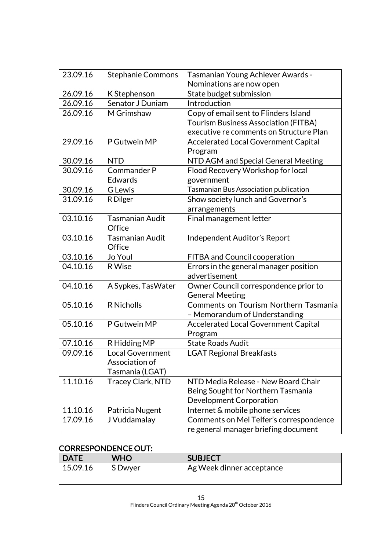| 23.09.16 | Stephanie Commons        | Tasmanian Young Achiever Awards -           |
|----------|--------------------------|---------------------------------------------|
|          |                          | Nominations are now open                    |
| 26.09.16 | K Stephenson             | State budget submission                     |
| 26.09.16 | Senator J Duniam         | Introduction                                |
| 26.09.16 | M Grimshaw               | Copy of email sent to Flinders Island       |
|          |                          | <b>Tourism Business Association (FITBA)</b> |
|          |                          | executive re comments on Structure Plan     |
| 29.09.16 | P Gutwein MP             | Accelerated Local Government Capital        |
|          |                          | Program                                     |
| 30.09.16 | <b>NTD</b>               | NTD AGM and Special General Meeting         |
| 30.09.16 | Commander P              | Flood Recovery Workshop for local           |
|          | Edwards                  | government                                  |
| 30.09.16 | <b>G</b> Lewis           | Tasmanian Bus Association publication       |
| 31.09.16 | R Dilger                 | Show society lunch and Governor's           |
|          |                          | arrangements                                |
| 03.10.16 | <b>Tasmanian Audit</b>   | Final management letter                     |
|          | Office                   |                                             |
| 03.10.16 | <b>Tasmanian Audit</b>   | Independent Auditor's Report                |
|          | Office                   |                                             |
| 03.10.16 | Jo Youl                  | FITBA and Council cooperation               |
| 04.10.16 | R Wise                   | Errors in the general manager position      |
|          |                          | advertisement                               |
| 04.10.16 | A Sypkes, TasWater       | Owner Council correspondence prior to       |
|          |                          | <b>General Meeting</b>                      |
| 05.10.16 | <b>R</b> Nicholls        | Comments on Tourism Northern Tasmania       |
|          |                          | - Memorandum of Understanding               |
| 05.10.16 | P Gutwein MP             | <b>Accelerated Local Government Capital</b> |
|          |                          | Program                                     |
| 07.10.16 | R Hidding MP             | <b>State Roads Audit</b>                    |
| 09.09.16 | <b>Local Government</b>  | <b>LGAT Regional Breakfasts</b>             |
|          | Association of           |                                             |
|          | Tasmania (LGAT)          |                                             |
| 11.10.16 | <b>Tracey Clark, NTD</b> | NTD Media Release - New Board Chair         |
|          |                          | Being Sought for Northern Tasmania          |
|          |                          | Development Corporation                     |
| 11.10.16 | Patricia Nugent          | Internet & mobile phone services            |
| 17.09.16 | J Vuddamalay             | Comments on Mel Telfer's correspondence     |
|          |                          | re general manager briefing document        |

## CORRESPONDENCE OUT:

| <b>DATE</b> | <b>WHO</b> | <b>SUBJECT</b>            |
|-------------|------------|---------------------------|
| 15.09.16    | S Dwyer    | Ag Week dinner acceptance |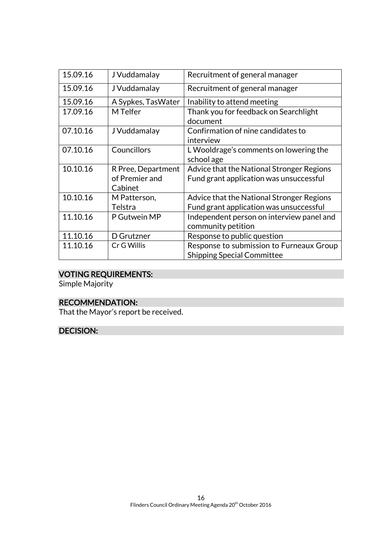| 15.09.16 | J Vuddamalay                                    | Recruitment of general manager                                                       |
|----------|-------------------------------------------------|--------------------------------------------------------------------------------------|
| 15.09.16 | J Vuddamalay                                    | Recruitment of general manager                                                       |
| 15.09.16 | A Sypkes, Tas Water                             | Inability to attend meeting                                                          |
| 17.09.16 | M Telfer                                        | Thank you for feedback on Searchlight<br>document                                    |
| 07.10.16 | J Vuddamalay                                    | Confirmation of nine candidates to<br>interview                                      |
| 07.10.16 | Councillors                                     | L Wooldrage's comments on lowering the<br>school age                                 |
| 10.10.16 | R Pree, Department<br>of Premier and<br>Cabinet | Advice that the National Stronger Regions<br>Fund grant application was unsuccessful |
| 10.10.16 | M Patterson,<br>Telstra                         | Advice that the National Stronger Regions<br>Fund grant application was unsuccessful |
| 11.10.16 | P Gutwein MP                                    | Independent person on interview panel and<br>community petition                      |
| 11.10.16 | D Grutzner                                      | Response to public question                                                          |
| 11.10.16 | Cr G Willis                                     | Response to submission to Furneaux Group<br><b>Shipping Special Committee</b>        |

## VOTING REQUIREMENTS:

Simple Majority

## RECOMMENDATION:

That the Mayor's report be received.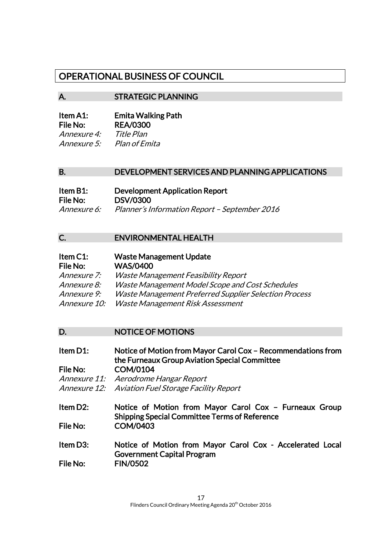## OPERATIONAL BUSINESS OF COUNCIL

#### A. STRATEGIC PLANNING

| Item A1:        | <b>Emita Walking Path</b> |
|-----------------|---------------------------|
| <b>File No:</b> | <b>REA/0300</b>           |
| Annexure 4:     | Title Plan                |
| Annexure 5:     | Plan of Emita             |

#### B. DEVELOPMENT SERVICES AND PLANNING APPLICATIONS

| Item B1:           | <b>Development Application Report</b>         |
|--------------------|-----------------------------------------------|
| File No:           | <b>DSV/0300</b>                               |
| <i>Annexure 6:</i> | Planner's Information Report - September 2016 |

#### C. ENVIRONMENTAL HEALTH

| Item C1:           | <b>Waste Management Update</b>                               |
|--------------------|--------------------------------------------------------------|
| File No:           | <b>WAS/0400</b>                                              |
| <i>Annexure 7:</i> | Waste Management Feasibility Report                          |
| <i>Annexure 8:</i> | Waste Management Model Scope and Cost Schedules              |
| Annexure 9:        | <b>Waste Management Preferred Supplier Selection Process</b> |
| Annexure 10:       | Waste Management Risk Assessment                             |

#### D. NOTICE OF MOTIONS

Item D1: Notice of Motion from Mayor Carol Cox – Recommendations from the Furneaux Group Aviation Special Committee File No: COM/0104 Annexure 11: Aerodrome Hangar Report

Annexure 12: Aviation Fuel Storage Facility Report

Item D2: Notice of Motion from Mayor Carol Cox – Furneaux Group Shipping Special Committee Terms of Reference File No: COM/0403

Item D3: Notice of Motion from Mayor Carol Cox - Accelerated Local Government Capital Program File No: FIN/0502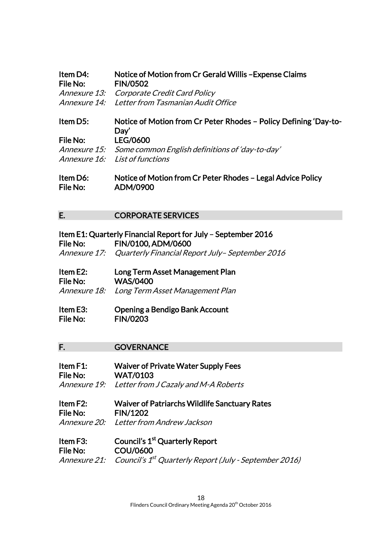| Item D4:<br>File No: | Notice of Motion from Cr Gerald Willis - Expense Claims<br><b>FIN/0502</b> |
|----------------------|----------------------------------------------------------------------------|
| <i>Annexure 13:</i>  | Corporate Credit Card Policy                                               |
| Annexure 14:         | Letter from Tasmanian Audit Office                                         |
| Item D5:             | Notice of Motion from Cr Peter Rhodes – Policy Defining 'Day-to-<br>Day'   |
| File No:             | LEG/0600                                                                   |
| <i>Annexure 15:</i>  | Some common English definitions of 'day-to-day'                            |
| Annexure 16:         | List of functions                                                          |
| ltam Ná∙             | Notice of Motion from Cr Peter Rhodes – Legal Advice Policy                |

Item D6: Notice of Motion from Cr Peter Rhodes – Legal Advice Policy File No: ADM/0900

#### E. CORPORATE SERVICES

|          | Item E1: Quarterly Financial Report for July – September 2016 |
|----------|---------------------------------------------------------------|
| File No: | FIN/0100, ADM/0600                                            |
|          | Annexure 17: Quarterly Financial Report July-September 2016   |
|          |                                                               |

| Item E2:        | Long Term Asset Management Plan              |
|-----------------|----------------------------------------------|
| <b>File No:</b> | <b>WAS/0400</b>                              |
|                 | Annexure 18: Long Term Asset Management Plan |

| Item E3: | Opening a Bendigo Bank Account |
|----------|--------------------------------|
| File No: | <b>FIN/0203</b>                |

#### F. GOVERNANCE

Item F1: Waiver of Private Water Supply Fees File No: WAT/0103 Annexure 19: Letter from J Cazaly and M-A Roberts

Item F2: Waiver of Patriarchs Wildlife Sanctuary Rates File No: FIN/1202 Annexure 20: Letter from Andrew Jackson

Item F3: Council's 1<sup>st</sup> Quarterly Report File No: COU/0600 Annexure 21: Council's 1<sup>st</sup> Quarterly Report (July - September 2016)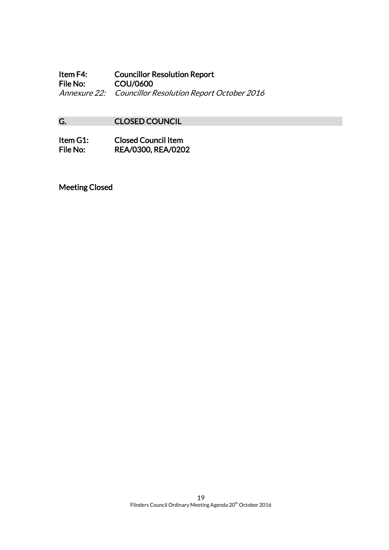Item F4: Councillor Resolution Report<br>File No: COU/0600 COU/0600 Annexure 22: Councillor Resolution Report October 2016

## G. CLOSED COUNCIL

| Item G1: | <b>Closed Council Item</b> |
|----------|----------------------------|
| File No: | <b>REA/0300, REA/0202</b>  |

Meeting Closed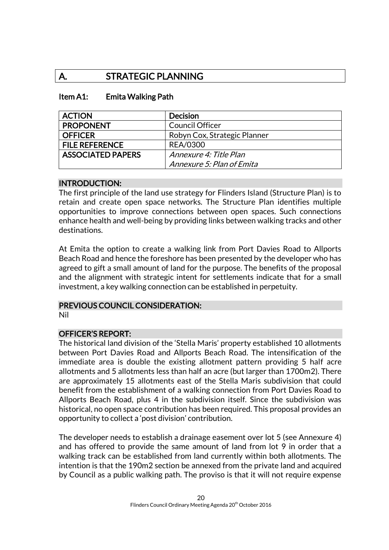## A. STRATEGIC PLANNING

#### Item A1: Emita Walking Path

| <b>ACTION</b>            | <b>Decision</b>              |
|--------------------------|------------------------------|
| <b>PROPONENT</b>         | <b>Council Officer</b>       |
| <b>OFFICER</b>           | Robyn Cox, Strategic Planner |
| <b>FILE REFERENCE</b>    | <b>REA/0300</b>              |
| <b>ASSOCIATED PAPERS</b> | Annexure 4: Title Plan       |
|                          | Annexure 5: Plan of Emita    |

#### INTRODUCTION:

The first principle of the land use strategy for Flinders Island (Structure Plan) is to retain and create open space networks. The Structure Plan identifies multiple opportunities to improve connections between open spaces. Such connections enhance health and well-being by providing links between walking tracks and other destinations.

At Emita the option to create a walking link from Port Davies Road to Allports Beach Road and hence the foreshore has been presented by the developer who has agreed to gift a small amount of land for the purpose. The benefits of the proposal and the alignment with strategic intent for settlements indicate that for a small investment, a key walking connection can be established in perpetuity.

#### PREVIOUS COUNCIL CONSIDERATION:

Nil

#### OFFICER'S REPORT:

The historical land division of the 'Stella Maris' property established 10 allotments between Port Davies Road and Allports Beach Road. The intensification of the immediate area is double the existing allotment pattern providing 5 half acre allotments and 5 allotments less than half an acre (but larger than 1700m2). There are approximately 15 allotments east of the Stella Maris subdivision that could benefit from the establishment of a walking connection from Port Davies Road to Allports Beach Road, plus 4 in the subdivision itself. Since the subdivision was historical, no open space contribution has been required. This proposal provides an opportunity to collect a 'post division' contribution.

The developer needs to establish a drainage easement over lot 5 (see Annexure 4) and has offered to provide the same amount of land from lot 9 in order that a walking track can be established from land currently within both allotments. The intention is that the 190m2 section be annexed from the private land and acquired by Council as a public walking path. The proviso is that it will not require expense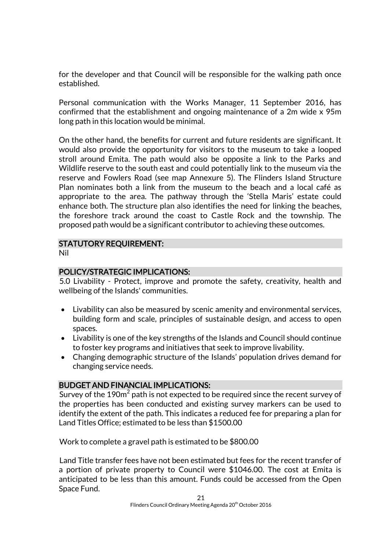for the developer and that Council will be responsible for the walking path once established.

Personal communication with the Works Manager, 11 September 2016, has confirmed that the establishment and ongoing maintenance of a 2m wide x 95m long path in this location would be minimal.

On the other hand, the benefits for current and future residents are significant. It would also provide the opportunity for visitors to the museum to take a looped stroll around Emita. The path would also be opposite a link to the Parks and Wildlife reserve to the south east and could potentially link to the museum via the reserve and Fowlers Road (see map Annexure 5). The Flinders Island Structure Plan nominates both a link from the museum to the beach and a local café as appropriate to the area. The pathway through the 'Stella Maris' estate could enhance both. The structure plan also identifies the need for linking the beaches, the foreshore track around the coast to Castle Rock and the township. The proposed path would be a significant contributor to achieving these outcomes.

# STATUTORY REQUIREMENT:

Nil

### POLICY/STRATEGIC IMPLICATIONS:

5.0 Livability - Protect, improve and promote the safety, creativity, health and wellbeing of the Islands' communities.

- Livability can also be measured by scenic amenity and environmental services, building form and scale, principles of sustainable design, and access to open spaces.
- Livability is one of the key strengths of the Islands and Council should continue to foster key programs and initiatives that seek to improve livability.
- Changing demographic structure of the Islands' population drives demand for changing service needs.

### BUDGET AND FINANCIAL IMPLICATIONS:

Survey of the 190 $\mathrm{m}^{2}$  path is not expected to be required since the recent survey of the properties has been conducted and existing survey markers can be used to identify the extent of the path. This indicates a reduced fee for preparing a plan for Land Titles Office; estimated to be less than \$1500.00

Work to complete a gravel path is estimated to be \$800.00

Land Title transfer fees have not been estimated but fees for the recent transfer of a portion of private property to Council were \$1046.00. The cost at Emita is anticipated to be less than this amount. Funds could be accessed from the Open Space Fund.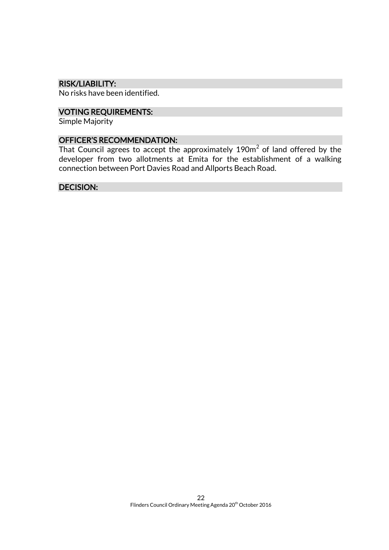#### RISK/LIABILITY:

No risks have been identified.

### VOTING REQUIREMENTS:

Simple Majority

#### OFFICER'S RECOMMENDATION:

That Council agrees to accept the approximately 190 $\mathrm{m}^2$  of land offered by the developer from two allotments at Emita for the establishment of a walking connection between Port Davies Road and Allports Beach Road.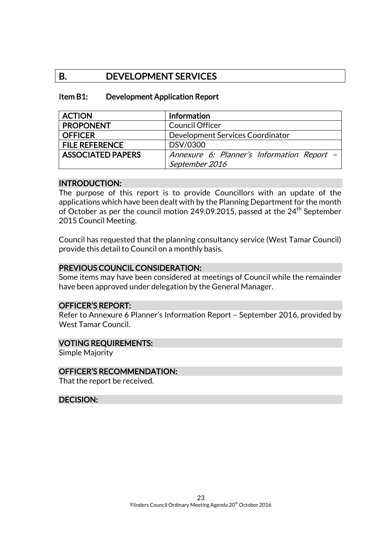## B. DEVELOPMENT SERVICES

#### Item B1: Development Application Report

| <b>ACTION</b>            | Information                                |
|--------------------------|--------------------------------------------|
| <b>PROPONENT</b>         | <b>Council Officer</b>                     |
| <b>OFFICER</b>           | Development Services Coordinator           |
| <b>FILE REFERENCE</b>    | DSV/0300                                   |
| <b>ASSOCIATED PAPERS</b> | Annexure 6: Planner's Information Report - |
|                          | September 2016                             |

#### INTRODUCTION:

The purpose of this report is to provide Councillors with an update of the applications which have been dealt with by the Planning Department for the month of October as per the council motion 249.09.2015, passed at the 24<sup>th</sup> September 2015 Council Meeting.

Council has requested that the planning consultancy service (West Tamar Council) provide this detail to Council on a monthly basis.

#### PREVIOUS COUNCIL CONSIDERATION:

Some items may have been considered at meetings of Council while the remainder have been approved under delegation by the General Manager.

#### OFFICER'S REPORT:

Refer to Annexure 6 Planner's Information Report – September 2016, provided by West Tamar Council.

#### VOTING REQUIREMENTS:

Simple Majority

#### OFFICER'S RECOMMENDATION:

That the report be received.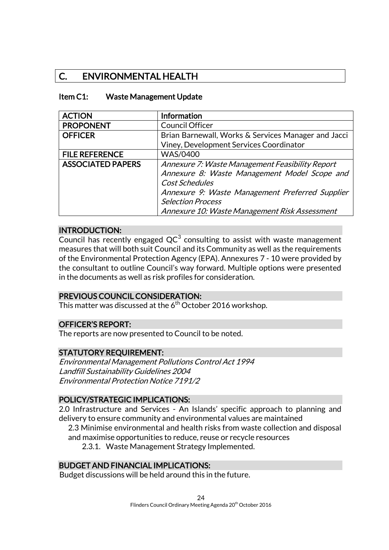## C. ENVIRONMENTAL HEALTH

#### Item C1: Waste Management Update

| <b>ACTION</b>            | <b>Information</b>                                  |
|--------------------------|-----------------------------------------------------|
| <b>PROPONENT</b>         | Council Officer                                     |
| <b>OFFICER</b>           | Brian Barnewall, Works & Services Manager and Jacci |
|                          | Viney, Development Services Coordinator             |
| <b>FILE REFERENCE</b>    | <b>WAS/0400</b>                                     |
| <b>ASSOCIATED PAPERS</b> | Annexure 7: Waste Management Feasibility Report     |
|                          | Annexure 8: Waste Management Model Scope and        |
|                          | Cost Schedules                                      |
|                          | Annexure 9: Waste Management Preferred Supplier     |
|                          | <b>Selection Process</b>                            |
|                          | Annexure 10: Waste Management Risk Assessment       |

#### INTRODUCTION:

Council has recently engaged  $QC^3$  consulting to assist with waste management measures that will both suit Council and its Community as well as the requirements of the Environmental Protection Agency (EPA). Annexures 7 - 10 were provided by the consultant to outline Council's way forward. Multiple options were presented in the documents as well as risk profiles for consideration.

#### PREVIOUS COUNCIL CONSIDERATION:

This matter was discussed at the 6<sup>th</sup> October 2016 workshop.

#### OFFICER'S REPORT:

The reports are now presented to Council to be noted.

#### STATUTORY REQUIREMENT:

Environmental Management Pollutions Control Act 1994 Landfill Sustainability Guidelines 2004 Environmental Protection Notice 7191/2

#### POLICY/STRATEGIC IMPLICATIONS:

2.0 Infrastructure and Services - An Islands' specific approach to planning and delivery to ensure community and environmental values are maintained

2.3 Minimise environmental and health risks from waste collection and disposal and maximise opportunities to reduce, reuse or recycle resources

2.3.1. Waste Management Strategy Implemented.

#### BUDGET AND FINANCIAL IMPLICATIONS:

Budget discussions will be held around this in the future.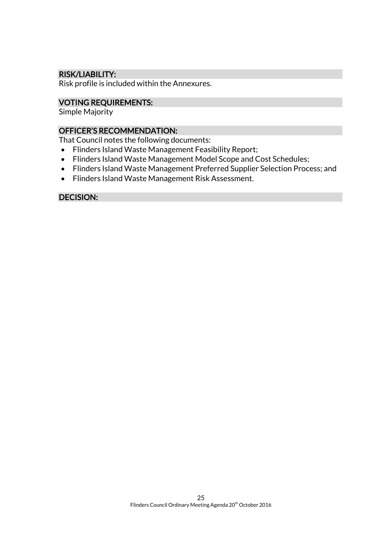#### RISK/LIABILITY:

Risk profile is included within the Annexures.

#### VOTING REQUIREMENTS:

Simple Majority

#### OFFICER'S RECOMMENDATION:

That Council notes the following documents:

- Flinders Island Waste Management Feasibility Report;
- Flinders Island Waste Management Model Scope and Cost Schedules;
- Flinders Island Waste Management Preferred Supplier Selection Process; and
- Flinders Island Waste Management Risk Assessment.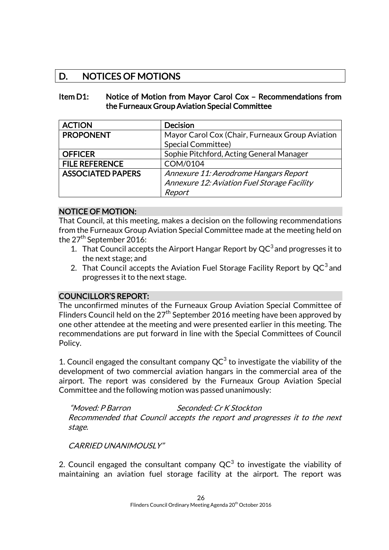## D. NOTICES OF MOTIONS

#### Item D1: Notice of Motion from Mayor Carol Cox – Recommendations from the Furneaux Group Aviation Special Committee

| <b>ACTION</b>            | <b>Decision</b>                                 |
|--------------------------|-------------------------------------------------|
| <b>PROPONENT</b>         | Mayor Carol Cox (Chair, Furneaux Group Aviation |
|                          | Special Committee)                              |
| <b>OFFICER</b>           | Sophie Pitchford, Acting General Manager        |
| <b>FILE REFERENCE</b>    | COM/0104                                        |
| <b>ASSOCIATED PAPERS</b> | Annexure 11: Aerodrome Hangars Report           |
|                          | Annexure 12: Aviation Fuel Storage Facility     |
|                          | Report                                          |

#### NOTICE OF MOTION:

That Council, at this meeting, makes a decision on the following recommendations from the Furneaux Group Aviation Special Committee made at the meeting held on the  $27<sup>th</sup>$  September 2016:

- 1. That Council accepts the Airport Hangar Report by  $QC^3$  and progresses it to the next stage; and
- 2. That Council accepts the Aviation Fuel Storage Facility Report by  $QC^3$  and progresses it to the next stage.

#### COUNCILLOR'S REPORT:

The unconfirmed minutes of the Furneaux Group Aviation Special Committee of Flinders Council held on the 27<sup>th</sup> September 2016 meeting have been approved by one other attendee at the meeting and were presented earlier in this meeting. The recommendations are put forward in line with the Special Committees of Council Policy.

1. Council engaged the consultant company  $QC^3$  to investigate the viability of the development of two commercial aviation hangars in the commercial area of the airport. The report was considered by the Furneaux Group Aviation Special Committee and the following motion was passed unanimously:

"Moved: P Barron Seconded: Cr K Stockton Recommended that Council accepts the report and progresses it to the next stage.

CARRIED UNANIMOUSLY"

2. Council engaged the consultant company QC $^3$  to investigate the viability of maintaining an aviation fuel storage facility at the airport. The report was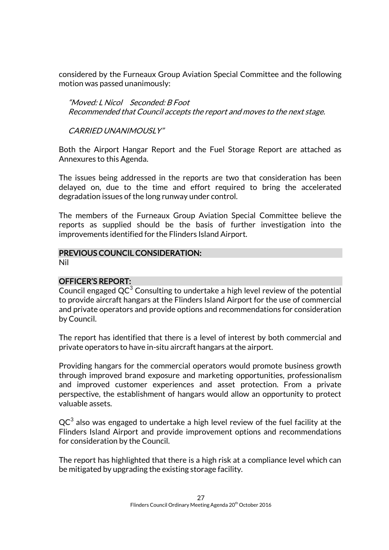considered by the Furneaux Group Aviation Special Committee and the following motion was passed unanimously:

"Moved: L Nicol Seconded: B Foot Recommended that Council accepts the report and moves to the next stage.

CARRIED UNANIMOUSLY"

Both the Airport Hangar Report and the Fuel Storage Report are attached as Annexures to this Agenda.

The issues being addressed in the reports are two that consideration has been delayed on, due to the time and effort required to bring the accelerated degradation issues of the long runway under control.

The members of the Furneaux Group Aviation Special Committee believe the reports as supplied should be the basis of further investigation into the improvements identified for the Flinders Island Airport.

## PREVIOUS COUNCIL CONSIDERATION:

Nil

#### OFFICER'S REPORT:

Council engaged  $QC^3$  Consulting to undertake a high level review of the potential to provide aircraft hangars at the Flinders Island Airport for the use of commercial and private operators and provide options and recommendations for consideration by Council.

The report has identified that there is a level of interest by both commercial and private operators to have in-situ aircraft hangars at the airport.

Providing hangars for the commercial operators would promote business growth through improved brand exposure and marketing opportunities, professionalism and improved customer experiences and asset protection. From a private perspective, the establishment of hangars would allow an opportunity to protect valuable assets.

 ${\sf QC}^3$  also was engaged to undertake a high level review of the fuel facility at the Flinders Island Airport and provide improvement options and recommendations for consideration by the Council.

The report has highlighted that there is a high risk at a compliance level which can be mitigated by upgrading the existing storage facility.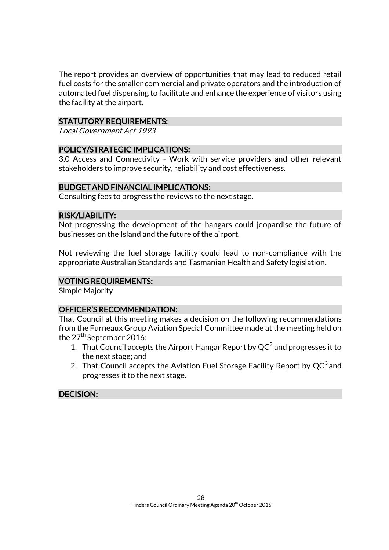The report provides an overview of opportunities that may lead to reduced retail fuel costs for the smaller commercial and private operators and the introduction of automated fuel dispensing to facilitate and enhance the experience of visitors using the facility at the airport.

#### STATUTORY REQUIREMENTS:

Local Government Act 1993

#### POLICY/STRATEGIC IMPLICATIONS:

3.0 Access and Connectivity - Work with service providers and other relevant stakeholders to improve security, reliability and cost effectiveness.

#### BUDGET AND FINANCIAL IMPLICATIONS:

Consulting fees to progress the reviews to the next stage.

#### RISK/LIABILITY:

Not progressing the development of the hangars could jeopardise the future of businesses on the Island and the future of the airport.

Not reviewing the fuel storage facility could lead to non-compliance with the appropriate Australian Standards and Tasmanian Health and Safety legislation.

#### VOTING REQUIREMENTS:

Simple Majority

#### OFFICER'S RECOMMENDATION:

That Council at this meeting makes a decision on the following recommendations from the Furneaux Group Aviation Special Committee made at the meeting held on the 27<sup>th</sup> September 2016:

- 1. That Council accepts the Airport Hangar Report by  $QC^3$  and progresses it to the next stage; and
- 2. That Council accepts the Aviation Fuel Storage Facility Report by  $QC^3$  and progresses it to the next stage.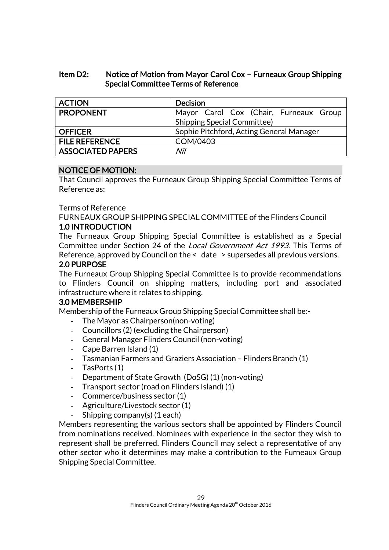#### Item D2: Notice of Motion from Mayor Carol Cox – Furneaux Group Shipping Special Committee Terms of Reference

| <b>ACTION</b>            | <b>Decision</b>                          |
|--------------------------|------------------------------------------|
| <b>PROPONENT</b>         | Mayor Carol Cox (Chair, Furneaux Group   |
|                          | <b>Shipping Special Committee)</b>       |
| <b>OFFICER</b>           | Sophie Pitchford, Acting General Manager |
| <b>FILE REFERENCE</b>    | COM/0403                                 |
| <b>ASSOCIATED PAPERS</b> | Nil                                      |

#### NOTICE OF MOTION:

That Council approves the Furneaux Group Shipping Special Committee Terms of Reference as:

#### Terms of Reference

FURNEAUX GROUP SHIPPING SPECIAL COMMITTEE of the Flinders Council

#### 1.0 INTRODUCTION

The Furneaux Group Shipping Special Committee is established as a Special Committee under Section 24 of the Local Government Act 1993. This Terms of Reference, approved by Council on the < date > supersedes all previous versions. 2.0 PURPOSE

The Furneaux Group Shipping Special Committee is to provide recommendations to Flinders Council on shipping matters, including port and associated infrastructure where it relates to shipping.

#### 3.0 MEMBERSHIP

Membership of the Furneaux Group Shipping Special Committee shall be:-

- The Mayor as Chairperson(non-voting)
- Councillors (2) (excluding the Chairperson)
- General Manager Flinders Council (non-voting)
- Cape Barren Island (1)
- Tasmanian Farmers and Graziers Association Flinders Branch (1)
- TasPorts (1)
- Department of State Growth (DoSG) (1) (non-voting)
- Transport sector (road on Flinders Island) (1)
- Commerce/business sector (1)
- Agriculture/Livestock sector (1)
- Shipping company(s) (1 each)

Members representing the various sectors shall be appointed by Flinders Council from nominations received. Nominees with experience in the sector they wish to represent shall be preferred. Flinders Council may select a representative of any other sector who it determines may make a contribution to the Furneaux Group Shipping Special Committee.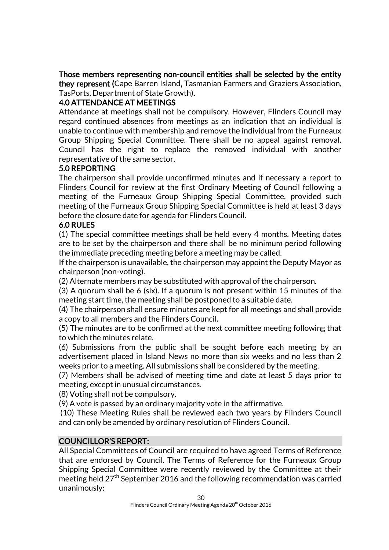Those members representing non-council entities shall be selected by the entity they represent (Cape Barren Island, Tasmanian Farmers and Graziers Association, TasPorts, Department of State Growth).

#### 4.0 ATTENDANCE AT MEETINGS

Attendance at meetings shall not be compulsory. However, Flinders Council may regard continued absences from meetings as an indication that an individual is unable to continue with membership and remove the individual from the Furneaux Group Shipping Special Committee. There shall be no appeal against removal. Council has the right to replace the removed individual with another representative of the same sector.

#### 5.0 REPORTING

The chairperson shall provide unconfirmed minutes and if necessary a report to Flinders Council for review at the first Ordinary Meeting of Council following a meeting of the Furneaux Group Shipping Special Committee, provided such meeting of the Furneaux Group Shipping Special Committee is held at least 3 days before the closure date for agenda for Flinders Council.

#### 6.0 RULES

(1) The special committee meetings shall be held every 4 months. Meeting dates are to be set by the chairperson and there shall be no minimum period following the immediate preceding meeting before a meeting may be called.

If the chairperson is unavailable, the chairperson may appoint the Deputy Mayor as chairperson (non-voting).

(2) Alternate members may be substituted with approval of the chairperson.

(3) A quorum shall be 6 (six). If a quorum is not present within 15 minutes of the meeting start time, the meeting shall be postponed to a suitable date.

(4) The chairperson shall ensure minutes are kept for all meetings and shall provide a copy to all members and the Flinders Council.

(5) The minutes are to be confirmed at the next committee meeting following that to which the minutes relate.

(6) Submissions from the public shall be sought before each meeting by an advertisement placed in Island News no more than six weeks and no less than 2 weeks prior to a meeting. All submissions shall be considered by the meeting.

(7) Members shall be advised of meeting time and date at least 5 days prior to meeting, except in unusual circumstances.

(8) Voting shall not be compulsory.

(9) A vote is passed by an ordinary majority vote in the affirmative.

(10) These Meeting Rules shall be reviewed each two years by Flinders Council and can only be amended by ordinary resolution of Flinders Council.

### COUNCILLOR'S REPORT:

All Special Committees of Council are required to have agreed Terms of Reference that are endorsed by Council. The Terms of Reference for the Furneaux Group Shipping Special Committee were recently reviewed by the Committee at their meeting held  $27<sup>th</sup>$  September 2016 and the following recommendation was carried unanimously: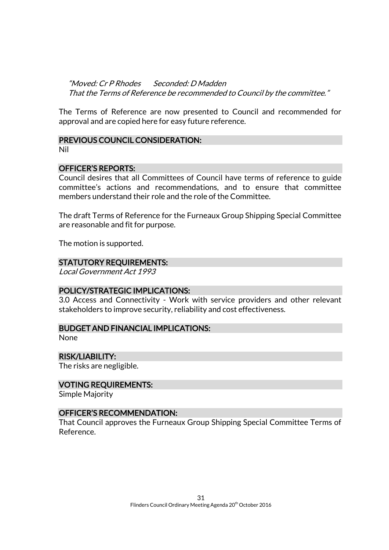"Moved: Cr P Rhodes Seconded: D Madden That the Terms of Reference be recommended to Council by the committee."

The Terms of Reference are now presented to Council and recommended for approval and are copied here for easy future reference.

#### PREVIOUS COUNCIL CONSIDERATION:

Nil

#### OFFICER'S REPORTS:

Council desires that all Committees of Council have terms of reference to guide committee's actions and recommendations, and to ensure that committee members understand their role and the role of the Committee.

The draft Terms of Reference for the Furneaux Group Shipping Special Committee are reasonable and fit for purpose.

The motion is supported.

#### STATUTORY REQUIREMENTS:

Local Government Act 1993

#### POLICY/STRATEGIC IMPLICATIONS:

3.0 Access and Connectivity - Work with service providers and other relevant stakeholders to improve security, reliability and cost effectiveness.

#### BUDGET AND FINANCIAL IMPLICATIONS:

None

RISK/LIABILITY: The risks are negligible.

VOTING REQUIREMENTS: Simple Majority

#### OFFICER'S RECOMMENDATION:

That Council approves the Furneaux Group Shipping Special Committee Terms of Reference.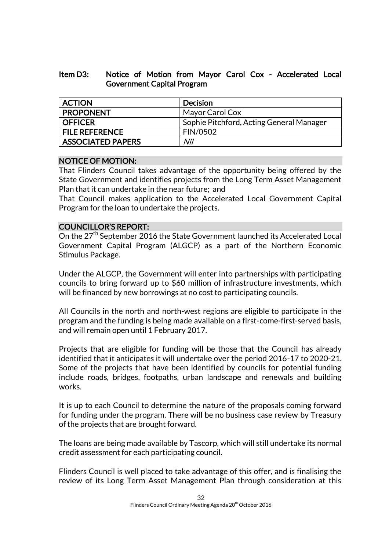#### Item D3: Notice of Motion from Mayor Carol Cox - Accelerated Local Government Capital Program

| <b>ACTION</b>            | <b>Decision</b>                          |
|--------------------------|------------------------------------------|
| <b>PROPONENT</b>         | Mayor Carol Cox                          |
| <b>OFFICER</b>           | Sophie Pitchford, Acting General Manager |
| <b>FILE REFERENCE</b>    | <b>FIN/0502</b>                          |
| <b>ASSOCIATED PAPERS</b> | Nil                                      |

#### NOTICE OF MOTION:

That Flinders Council takes advantage of the opportunity being offered by the State Government and identifies projects from the Long Term Asset Management Plan that it can undertake in the near future; and

That Council makes application to the Accelerated Local Government Capital Program for the loan to undertake the projects.

#### COUNCILLOR'S REPORT:

On the 27<sup>th</sup> September 2016 the State Government launched its Accelerated Local Government Capital Program (ALGCP) as a part of the Northern Economic Stimulus Package.

Under the ALGCP, the Government will enter into partnerships with participating councils to bring forward up to \$60 million of infrastructure investments, which will be financed by new borrowings at no cost to participating councils.

All Councils in the north and north-west regions are eligible to participate in the program and the funding is being made available on a first-come-first-served basis, and will remain open until 1 February 2017.

Projects that are eligible for funding will be those that the Council has already identified that it anticipates it will undertake over the period 2016-17 to 2020-21. Some of the projects that have been identified by councils for potential funding include roads, bridges, footpaths, urban landscape and renewals and building works.

It is up to each Council to determine the nature of the proposals coming forward for funding under the program. There will be no business case review by Treasury of the projects that are brought forward.

The loans are being made available by Tascorp, which will still undertake its normal credit assessment for each participating council.

Flinders Council is well placed to take advantage of this offer, and is finalising the review of its Long Term Asset Management Plan through consideration at this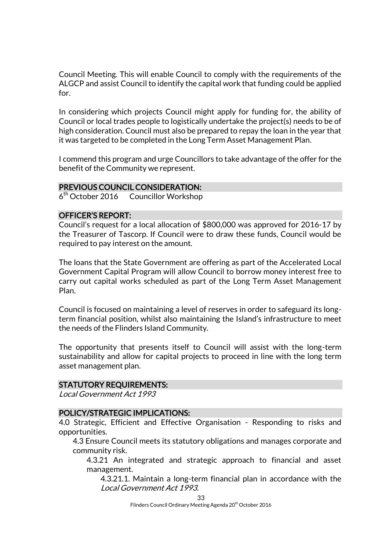Council Meeting. This will enable Council to comply with the requirements of the ALGCP and assist Council to identify the capital work that funding could be applied for.

In considering which projects Council might apply for funding for, the ability of Council or local trades people to logistically undertake the project(s) needs to be of high consideration. Council must also be prepared to repay the loan in the year that it was targeted to be completed in the Long Term Asset Management Plan.

I commend this program and urge Councillors to take advantage of the offer for the benefit of the Community we represent.

#### PREVIOUS COUNCIL CONSIDERATION:

6<sup>th</sup> October 2016 Councillor Workshop

#### OFFICER'S REPORT:

Council's request for a local allocation of \$800,000 was approved for 2016-17 by the Treasurer of Tascorp. If Council were to draw these funds, Council would be required to pay interest on the amount.

The loans that the State Government are offering as part of the Accelerated Local Government Capital Program will allow Council to borrow money interest free to carry out capital works scheduled as part of the Long Term Asset Management Plan.

Council is focused on maintaining a level of reserves in order to safeguard its longterm financial position, whilst also maintaining the Island's infrastructure to meet the needs of the Flinders Island Community.

The opportunity that presents itself to Council will assist with the long-term sustainability and allow for capital projects to proceed in line with the long term asset management plan.

#### STATUTORY REQUIREMENTS:

Local Government Act 1993

#### POLICY/STRATEGIC IMPLICATIONS:

4.0 Strategic, Efficient and Effective Organisation - Responding to risks and opportunities.

4.3 Ensure Council meets its statutory obligations and manages corporate and community risk.

4.3.21 An integrated and strategic approach to financial and asset management.

4.3.21.1. Maintain a long-term financial plan in accordance with the Local Government Act 1993.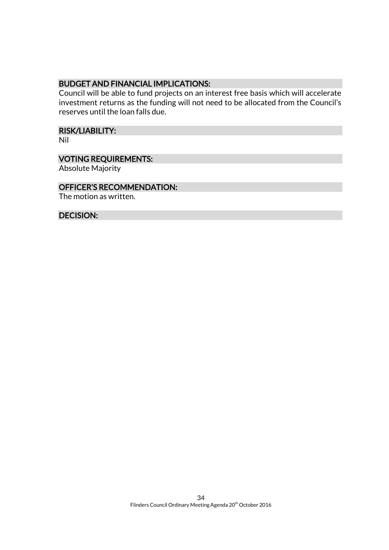#### BUDGET AND FINANCIAL IMPLICATIONS:

Council will be able to fund projects on an interest free basis which will accelerate investment returns as the funding will not need to be allocated from the Council's reserves until the loan falls due.

## RISK/LIABILITY:

Nil

#### VOTING REQUIREMENTS:

Absolute Majority

#### OFFICER'S RECOMMENDATION:

The motion as written.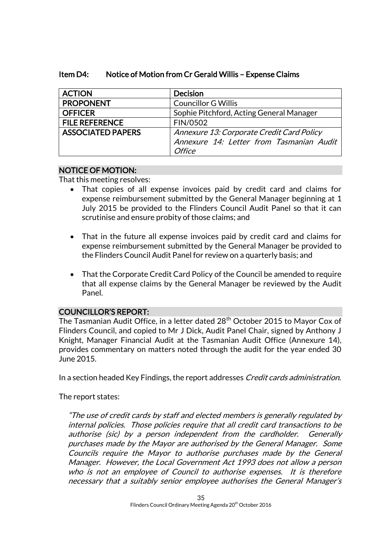| <b>ACTION</b>            | <b>Decision</b>                           |
|--------------------------|-------------------------------------------|
| <b>PROPONENT</b>         | <b>Councillor G Willis</b>                |
| <b>OFFICER</b>           | Sophie Pitchford, Acting General Manager  |
| <b>FILE REFERENCE</b>    | FIN/0502                                  |
| <b>ASSOCIATED PAPERS</b> | Annexure 13: Corporate Credit Card Policy |
|                          | Annexure 14: Letter from Tasmanian Audit  |
|                          | <i>Office</i>                             |

#### Item D4: Notice of Motion from Cr Gerald Willis – Expense Claims

#### NOTICE OF MOTION:

That this meeting resolves:

- That copies of all expense invoices paid by credit card and claims for expense reimbursement submitted by the General Manager beginning at 1 July 2015 be provided to the Flinders Council Audit Panel so that it can scrutinise and ensure probity of those claims; and
- That in the future all expense invoices paid by credit card and claims for expense reimbursement submitted by the General Manager be provided to the Flinders Council Audit Panel for review on a quarterly basis; and
- That the Corporate Credit Card Policy of the Council be amended to require that all expense claims by the General Manager be reviewed by the Audit Panel.

#### COUNCILLOR'S REPORT:

The Tasmanian Audit Office, in a letter dated 28<sup>th</sup> October 2015 to Mayor Cox of Flinders Council, and copied to Mr J Dick, Audit Panel Chair, signed by Anthony J Knight, Manager Financial Audit at the Tasmanian Audit Office (Annexure 14), provides commentary on matters noted through the audit for the year ended 30 June 2015.

In a section headed Key Findings, the report addresses *Credit cards administration*.

The report states:

"The use of credit cards by staff and elected members is generally regulated by internal policies. Those policies require that all credit card transactions to be authorise (sic) by a person independent from the cardholder. Generally purchases made by the Mayor are authorised by the General Manager. Some Councils require the Mayor to authorise purchases made by the General Manager. However, the Local Government Act 1993 does not allow a person who is not an employee of Council to authorise expenses. It is therefore necessary that a suitably senior employee authorises the General Manager's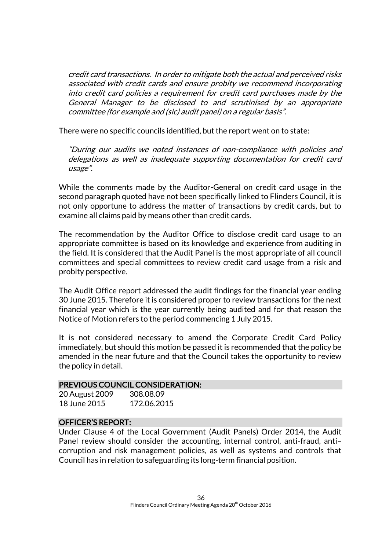credit card transactions. In order to mitigate both the actual and perceived risks associated with credit cards and ensure probity we recommend incorporating into credit card policies a requirement for credit card purchases made by the General Manager to be disclosed to and scrutinised by an appropriate committee (for example and (sic) audit panel) on a regular basis".

There were no specific councils identified, but the report went on to state:

"During our audits we noted instances of non-compliance with policies and delegations as well as inadequate supporting documentation for credit card usage".

While the comments made by the Auditor-General on credit card usage in the second paragraph quoted have not been specifically linked to Flinders Council, it is not only opportune to address the matter of transactions by credit cards, but to examine all claims paid by means other than credit cards.

The recommendation by the Auditor Office to disclose credit card usage to an appropriate committee is based on its knowledge and experience from auditing in the field. It is considered that the Audit Panel is the most appropriate of all council committees and special committees to review credit card usage from a risk and probity perspective.

The Audit Office report addressed the audit findings for the financial year ending 30 June 2015. Therefore it is considered proper to review transactions for the next financial year which is the year currently being audited and for that reason the Notice of Motion refers to the period commencing 1 July 2015.

It is not considered necessary to amend the Corporate Credit Card Policy immediately, but should this motion be passed it is recommended that the policy be amended in the near future and that the Council takes the opportunity to review the policy in detail.

#### PREVIOUS COUNCIL CONSIDERATION:

| 20 August 2009 | 308.08.09   |
|----------------|-------------|
| 18 June 2015   | 172.06.2015 |

#### OFFICER'S REPORT:

Under Clause 4 of the Local Government (Audit Panels) Order 2014, the Audit Panel review should consider the accounting, internal control, anti-fraud, anti– corruption and risk management policies, as well as systems and controls that Council has in relation to safeguarding its long-term financial position.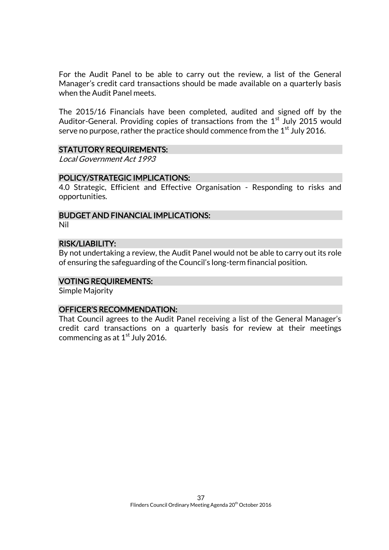For the Audit Panel to be able to carry out the review, a list of the General Manager's credit card transactions should be made available on a quarterly basis when the Audit Panel meets.

The 2015/16 Financials have been completed, audited and signed off by the Auditor-General. Providing copies of transactions from the 1<sup>st</sup> July 2015 would serve no purpose, rather the practice should commence from the  $1<sup>st</sup>$  July 2016.

#### STATUTORY REQUIREMENTS:

Local Government Act 1993

#### POLICY/STRATEGIC IMPLICATIONS:

4.0 Strategic, Efficient and Effective Organisation - Responding to risks and opportunities.

### BUDGET AND FINANCIAL IMPLICATIONS:

Nil

#### RISK/LIABILITY:

By not undertaking a review, the Audit Panel would not be able to carry out its role of ensuring the safeguarding of the Council's long-term financial position.

#### VOTING REQUIREMENTS:

Simple Majority

#### OFFICER'S RECOMMENDATION:

That Council agrees to the Audit Panel receiving a list of the General Manager's credit card transactions on a quarterly basis for review at their meetings commencing as at  $1<sup>st</sup>$  July 2016.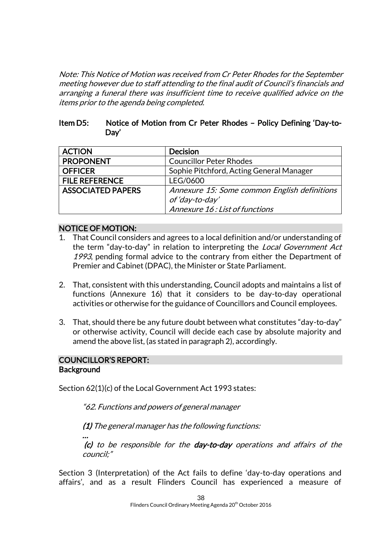Note: This Notice of Motion was received from Cr Peter Rhodes for the September meeting however due to staff attending to the final audit of Council's financials and arranging a funeral there was insufficient time to receive qualified advice on the items prior to the agenda being completed.

#### Item D5: Notice of Motion from Cr Peter Rhodes – Policy Defining 'Day-to-Day'

| <b>ACTION</b>            | <b>Decision</b>                              |
|--------------------------|----------------------------------------------|
| <b>PROPONENT</b>         | <b>Councillor Peter Rhodes</b>               |
| <b>OFFICER</b>           | Sophie Pitchford, Acting General Manager     |
| <b>FILE REFERENCE</b>    | LEG/0600                                     |
| <b>ASSOCIATED PAPERS</b> | Annexure 15: Some common English definitions |
|                          | of 'day-to-day'                              |
|                          | Annexure 16: List of functions               |

#### NOTICE OF MOTION:

- 1. That Council considers and agrees to a local definition and/or understanding of the term "day-to-day" in relation to interpreting the Local Government Act 1993, pending formal advice to the contrary from either the Department of Premier and Cabinet (DPAC), the Minister or State Parliament.
- 2. That, consistent with this understanding, Council adopts and maintains a list of functions (Annexure 16) that it considers to be day-to-day operational activities or otherwise for the guidance of Councillors and Council employees.
- 3. That, should there be any future doubt between what constitutes "day-to-day" or otherwise activity, Council will decide each case by absolute majority and amend the above list, (as stated in paragraph 2), accordingly.

#### COUNCILLOR'S REPORT: **Background**

…

Section 62(1)(c) of the Local Government Act 1993 states:

"62. Functions and powers of general manager

(1) The general manager has the following functions:

(c) to be responsible for the day-to-day operations and affairs of the council;"

Section 3 (Interpretation) of the Act fails to define 'day-to-day operations and affairs', and as a result Flinders Council has experienced a measure of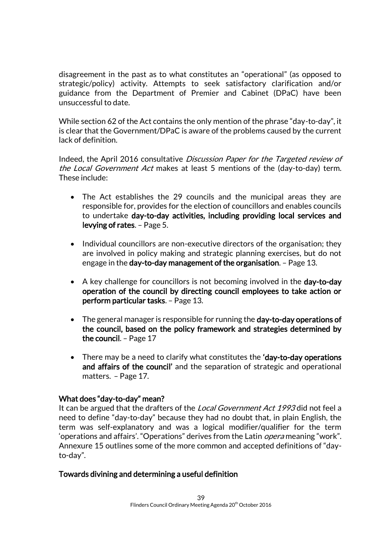disagreement in the past as to what constitutes an "operational" (as opposed to strategic/policy) activity. Attempts to seek satisfactory clarification and/or guidance from the Department of Premier and Cabinet (DPaC) have been unsuccessful to date.

While section 62 of the Act contains the only mention of the phrase "day-to-day", it is clear that the Government/DPaC is aware of the problems caused by the current lack of definition.

Indeed, the April 2016 consultative Discussion Paper for the Targeted review of the Local Government Act makes at least 5 mentions of the (day-to-day) term. These include:

- The Act establishes the 29 councils and the municipal areas they are responsible for, provides for the election of councillors and enables councils to undertake day-to-day activities, including providing local services and levying of rates. – Page 5.
- Individual councillors are non-executive directors of the organisation; they are involved in policy making and strategic planning exercises, but do not engage in the day-to-day management of the organisation. – Page 13.
- A key challenge for councillors is not becoming involved in the day-to-day operation of the council by directing council employees to take action or perform particular tasks. – Page 13.
- The general manager is responsible for running the day-to-day operations of the council, based on the policy framework and strategies determined by the council. – Page 17
- There may be a need to clarify what constitutes the 'day-to-day operations and affairs of the council' and the separation of strategic and operational matters. – Page 17.

#### What does "day-to-day" mean?

It can be argued that the drafters of the Local Government Act 1993 did not feel a need to define "day-to-day" because they had no doubt that, in plain English, the term was self-explanatory and was a logical modifier/qualifier for the term 'operations and affairs'. "Operations" derives from the Latin *opera* meaning "work". Annexure 15 outlines some of the more common and accepted definitions of "dayto-day".

#### Towards divining and determining a useful definition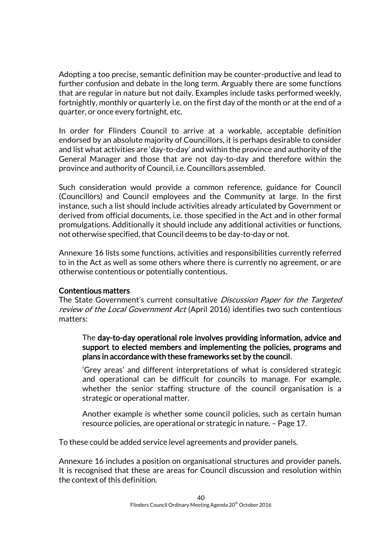Adopting a too precise, semantic definition may be counter-productive and lead to further confusion and debate in the long term. Arguably there are some functions that are regular in nature but not daily. Examples include tasks performed weekly, fortnightly, monthly or quarterly i.e. on the first day of the month or at the end of a quarter, or once every fortnight, etc.

In order for Flinders Council to arrive at a workable, acceptable definition endorsed by an absolute majority of Councillors, it is perhaps desirable to consider and list what activities are 'day-to-day' and within the province and authority of the General Manager and those that are not day-to-day and therefore within the province and authority of Council, i.e. Councillors assembled.

Such consideration would provide a common reference, guidance for Council (Councillors) and Council employees and the Community at large. In the first instance, such a list should include activities already articulated by Government or derived from official documents, i.e. those specified in the Act and in other formal promulgations. Additionally it should include any additional activities or functions, not otherwise specified, that Council deems to be day-to-day or not.

Annexure 16 lists some functions, activities and responsibilities currently referred to in the Act as well as some others where there is currently no agreement, or are otherwise contentious or potentially contentious.

#### Contentious matters

The State Government's current consultative *Discussion Paper for the Targeted* review of the Local Government Act (April 2016) identifies two such contentious matters:

The day-to-day operational role involves providing information, advice and support to elected members and implementing the policies, programs and plans in accordance with these frameworks set by the council.

'Grey areas' and different interpretations of what is considered strategic and operational can be difficult for councils to manage. For example, whether the senior staffing structure of the council organisation is a strategic or operational matter.

Another example is whether some council policies, such as certain human resource policies, are operational or strategic in nature. – Page 17.

To these could be added service level agreements and provider panels.

Annexure 16 includes a position on organisational structures and provider panels. It is recognised that these are areas for Council discussion and resolution within the context of this definition.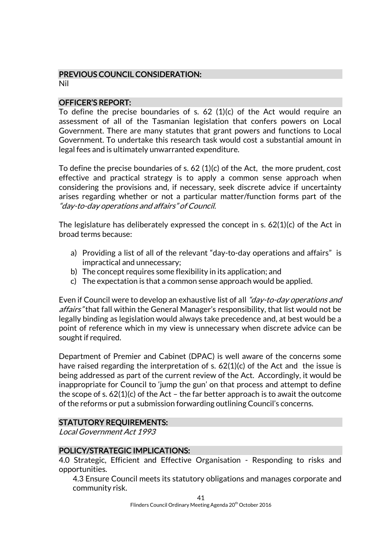## PREVIOUS COUNCIL CONSIDERATION:

Nil

#### OFFICER'S REPORT:

To define the precise boundaries of s. 62 (1)(c) of the Act would require an assessment of all of the Tasmanian legislation that confers powers on Local Government. There are many statutes that grant powers and functions to Local Government. To undertake this research task would cost a substantial amount in legal fees and is ultimately unwarranted expenditure.

To define the precise boundaries of s. 62 (1)(c) of the Act, the more prudent, cost effective and practical strategy is to apply a common sense approach when considering the provisions and, if necessary, seek discrete advice if uncertainty arises regarding whether or not a particular matter/function forms part of the "day-to-day operations and affairs" of Council.

The legislature has deliberately expressed the concept in s.  $62(1)(c)$  of the Act in broad terms because:

- a) Providing a list of all of the relevant "day-to-day operations and affairs" is impractical and unnecessary;
- b) The concept requires some flexibility in its application; and
- c) The expectation is that a common sense approach would be applied.

Even if Council were to develop an exhaustive list of all "*day-to-day operations and* affairs" that fall within the General Manager's responsibility, that list would not be legally binding as legislation would always take precedence and, at best would be a point of reference which in my view is unnecessary when discrete advice can be sought if required.

Department of Premier and Cabinet (DPAC) is well aware of the concerns some have raised regarding the interpretation of s.  $62(1)(c)$  of the Act and the issue is being addressed as part of the current review of the Act. Accordingly, it would be inappropriate for Council to 'jump the gun' on that process and attempt to define the scope of s.  $62(1)(c)$  of the Act – the far better approach is to await the outcome of the reforms or put a submission forwarding outlining Council's concerns.

#### STATUTORY REQUIREMENTS:

Local Government Act 1993

#### POLICY/STRATEGIC IMPLICATIONS:

4.0 Strategic, Efficient and Effective Organisation - Responding to risks and opportunities.

4.3 Ensure Council meets its statutory obligations and manages corporate and community risk.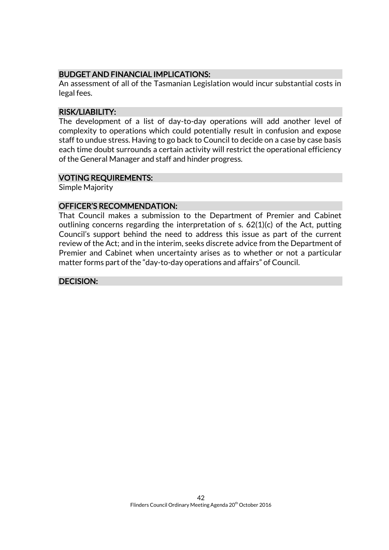#### BUDGET AND FINANCIAL IMPLICATIONS:

An assessment of all of the Tasmanian Legislation would incur substantial costs in legal fees.

#### RISK/LIABILITY:

The development of a list of day-to-day operations will add another level of complexity to operations which could potentially result in confusion and expose staff to undue stress. Having to go back to Council to decide on a case by case basis each time doubt surrounds a certain activity will restrict the operational efficiency of the General Manager and staff and hinder progress.

#### VOTING REQUIREMENTS:

Simple Majority

#### OFFICER'S RECOMMENDATION:

That Council makes a submission to the Department of Premier and Cabinet outlining concerns regarding the interpretation of s. 62(1)(c) of the Act, putting Council's support behind the need to address this issue as part of the current review of the Act; and in the interim, seeks discrete advice from the Department of Premier and Cabinet when uncertainty arises as to whether or not a particular matter forms part of the "day-to-day operations and affairs" of Council.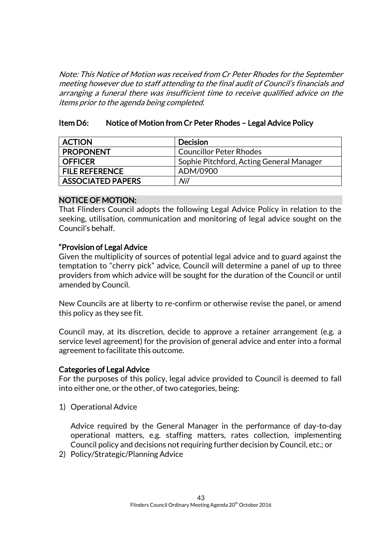Note: This Notice of Motion was received from Cr Peter Rhodes for the September meeting however due to staff attending to the final audit of Council's financials and arranging a funeral there was insufficient time to receive qualified advice on the items prior to the agenda being completed.

#### Item D6: Notice of Motion from Cr Peter Rhodes – Legal Advice Policy

| <b>ACTION</b>            | <b>Decision</b>                          |
|--------------------------|------------------------------------------|
| <b>PROPONENT</b>         | <b>Councillor Peter Rhodes</b>           |
| <b>OFFICER</b>           | Sophie Pitchford, Acting General Manager |
| <b>FILE REFERENCE</b>    | ADM/0900                                 |
| <b>ASSOCIATED PAPERS</b> | Nil                                      |

#### NOTICE OF MOTION:

That Flinders Council adopts the following Legal Advice Policy in relation to the seeking, utilisation, communication and monitoring of legal advice sought on the Council's behalf.

#### "Provision of Legal Advice

Given the multiplicity of sources of potential legal advice and to guard against the temptation to "cherry pick" advice, Council will determine a panel of up to three providers from which advice will be sought for the duration of the Council or until amended by Council.

New Councils are at liberty to re-confirm or otherwise revise the panel, or amend this policy as they see fit.

Council may, at its discretion, decide to approve a retainer arrangement (e.g. a service level agreement) for the provision of general advice and enter into a formal agreement to facilitate this outcome.

#### Categories of Legal Advice

For the purposes of this policy, legal advice provided to Council is deemed to fall into either one, or the other, of two categories, being:

1) Operational Advice

Advice required by the General Manager in the performance of day-to-day operational matters, e.g. staffing matters, rates collection, implementing Council policy and decisions not requiring further decision by Council, etc.; or

2) Policy/Strategic/Planning Advice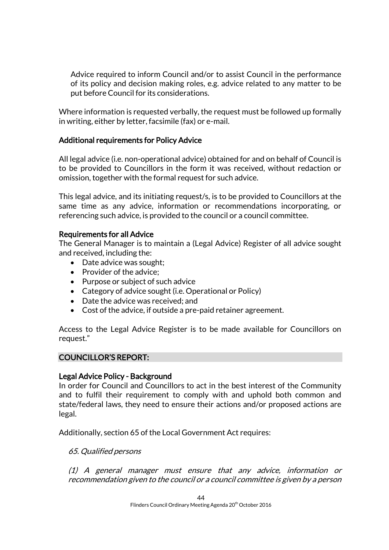Advice required to inform Council and/or to assist Council in the performance of its policy and decision making roles, e.g. advice related to any matter to be put before Council for its considerations.

Where information is requested verbally, the request must be followed up formally in writing, either by letter, facsimile (fax) or e-mail.

#### Additional requirements for Policy Advice

All legal advice (i.e. non-operational advice) obtained for and on behalf of Council is to be provided to Councillors in the form it was received, without redaction or omission, together with the formal request for such advice.

This legal advice, and its initiating request/s, is to be provided to Councillors at the same time as any advice, information or recommendations incorporating, or referencing such advice, is provided to the council or a council committee.

#### Requirements for all Advice

The General Manager is to maintain a (Legal Advice) Register of all advice sought and received, including the:

- Date advice was sought;
- Provider of the advice;
- Purpose or subject of such advice
- Category of advice sought (i.e. Operational or Policy)
- Date the advice was received; and
- Cost of the advice, if outside a pre-paid retainer agreement.

Access to the Legal Advice Register is to be made available for Councillors on request."

### COUNCILLOR'S REPORT:

#### Legal Advice Policy - Background

In order for Council and Councillors to act in the best interest of the Community and to fulfil their requirement to comply with and uphold both common and state/federal laws, they need to ensure their actions and/or proposed actions are legal.

Additionally, section 65 of the Local Government Act requires:

65. Qualified persons

(1) A general manager must ensure that any advice, information or recommendation given to the council or a council committee is given by a person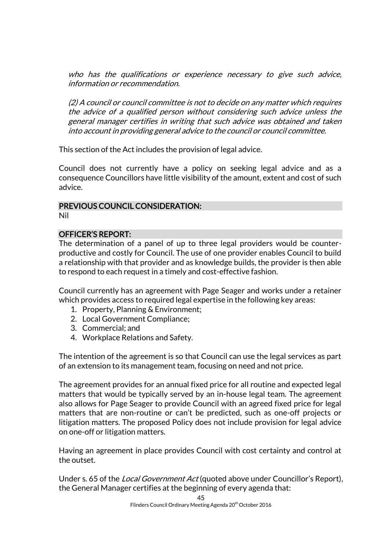who has the qualifications or experience necessary to give such advice, information or recommendation.

(2) A council or council committee is not to decide on any matter which requires the advice of a qualified person without considering such advice unless the general manager certifies in writing that such advice was obtained and taken into account in providing general advice to the council or council committee.

This section of the Act includes the provision of legal advice.

Council does not currently have a policy on seeking legal advice and as a consequence Councillors have little visibility of the amount, extent and cost of such advice.

#### PREVIOUS COUNCIL CONSIDERATION:

Nil

#### OFFICER'S REPORT:

The determination of a panel of up to three legal providers would be counterproductive and costly for Council. The use of one provider enables Council to build a relationship with that provider and as knowledge builds, the provider is then able to respond to each request in a timely and cost-effective fashion.

Council currently has an agreement with Page Seager and works under a retainer which provides access to required legal expertise in the following key areas:

- 1. Property, Planning & Environment;
- 2. Local Government Compliance;
- 3. Commercial; and
- 4. Workplace Relations and Safety.

The intention of the agreement is so that Council can use the legal services as part of an extension to its management team, focusing on need and not price.

The agreement provides for an annual fixed price for all routine and expected legal matters that would be typically served by an in-house legal team. The agreement also allows for Page Seager to provide Council with an agreed fixed price for legal matters that are non-routine or can't be predicted, such as one-off projects or litigation matters. The proposed Policy does not include provision for legal advice on one-off or litigation matters.

Having an agreement in place provides Council with cost certainty and control at the outset.

Under s. 65 of the *Local Government Act* (quoted above under Councillor's Report), the General Manager certifies at the beginning of every agenda that: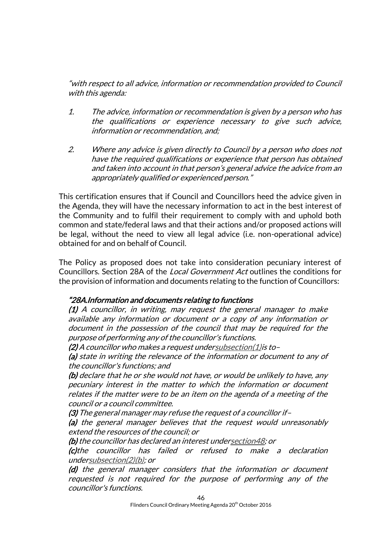"with respect to all advice, information or recommendation provided to Council with this agenda:

- 1. The advice, information or recommendation is given by a person who has the qualifications or experience necessary to give such advice, information or recommendation, and;
- 2. Where any advice is given directly to Council by a person who does not have the required qualifications or experience that person has obtained and taken into account in that person's general advice the advice from an appropriately qualified or experienced person."

This certification ensures that if Council and Councillors heed the advice given in the Agenda, they will have the necessary information to act in the best interest of the Community and to fulfil their requirement to comply with and uphold both common and state/federal laws and that their actions and/or proposed actions will be legal, without the need to view all legal advice (i.e. non-operational advice) obtained for and on behalf of Council.

The Policy as proposed does not take into consideration pecuniary interest of Councillors. Section 28A of the Local Government Act outlines the conditions for the provision of information and documents relating to the function of Councillors:

#### "28A. Information and documents relating to functions

(1) A councillor, in writing, may request the general manager to make available any information or document or a copy of any information or document in the possession of the council that may be required for the purpose of performing any of the councillor's functions.

(2) A councillor who makes a request unde[rsubsection\(1\)i](http://www.thelaw.tas.gov.au/tocview/content.w3p;cond=;doc_id=95%2B%2B1993%2BGS28A%40Gs1%40EN%2B20140924000000;histon=;inforequest=;pdfauthverid=;prompt=;rec=44;rtfauthverid=;term=;webauthverid=#GS28A@Gs1@EN)s to–

(a) state in writing the relevance of the information or document to any of the councillor's functions; and

(b) declare that he or she would not have, or would be unlikely to have, any pecuniary interest in the matter to which the information or document relates if the matter were to be an item on the agenda of a meeting of the council or a council committee.

(3) The general manager may refuse the request of a councillor if–

(a) the general manager believes that the request would unreasonably extend the resources of the council; or

(b) the councillor has declared an interest unde[rsection48;](http://www.thelaw.tas.gov.au/tocview/content.w3p;cond=;doc_id=95%2B%2B1993%2BGS48%40EN%2B20140924000000;histon=;inforequest=;pdfauthverid=;prompt=;rec=92;rtfauthverid=;term=;webauthverid=#GS48@EN) or

(c)the councillor has failed or refused to make a declaration unde[rsubsection\(2\)\(b\);](http://www.thelaw.tas.gov.au/tocview/content.w3p;cond=;doc_id=95%2B%2B1993%2BGS28A%40Gs2%40Hpb%40EN%2B20140924000000;histon=;inforequest=;pdfauthverid=;prompt=;rec=44;rtfauthverid=;term=;webauthverid=#GS28A@Gs2@Hpb@EN) or

(d) the general manager considers that the information or document requested is not required for the purpose of performing any of the councillor's functions.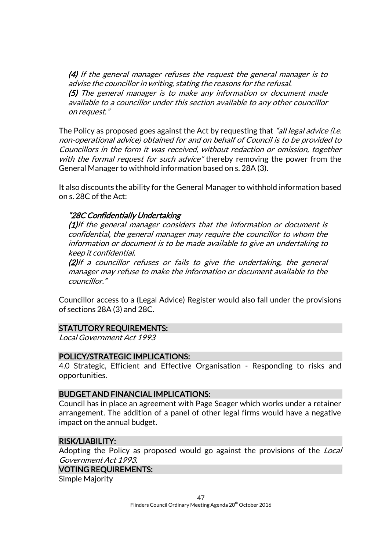(4) If the general manager refuses the request the general manager is to advise the councillor in writing, stating the reasons for the refusal. (5) The general manager is to make any information or document made available to a councillor under this section available to any other councillor on request."

The Policy as proposed goes against the Act by requesting that "all legal advice (i.e. non-operational advice) obtained for and on behalf of Council is to be provided to Councillors in the form it was received, without redaction or omission, together with the formal request for such advice" thereby removing the power from the General Manager to withhold information based on s. 28A (3).

It also discounts the ability for the General Manager to withhold information based on s. 28C of the Act:

#### "28C Confidentially Undertaking

(1)If the general manager considers that the information or document is confidential, the general manager may require the councillor to whom the information or document is to be made available to give an undertaking to keep it confidential.

(2)If a councillor refuses or fails to give the undertaking, the general manager may refuse to make the information or document available to the councillor."

Councillor access to a (Legal Advice) Register would also fall under the provisions of sections 28A (3) and 28C.

#### STATUTORY REQUIREMENTS:

Local Government Act 1993

#### POLICY/STRATEGIC IMPLICATIONS:

4.0 Strategic, Efficient and Effective Organisation - Responding to risks and opportunities.

#### BUDGET AND FINANCIAL IMPLICATIONS:

Council has in place an agreement with Page Seager which works under a retainer arrangement. The addition of a panel of other legal firms would have a negative impact on the annual budget.

#### RISK/LIABILITY:

Adopting the Policy as proposed would go against the provisions of the Local Government Act 1993.

#### VOTING REQUIREMENTS:

Simple Majority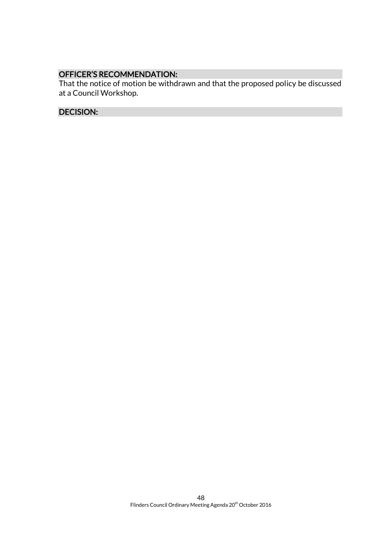## OFFICER'S RECOMMENDATION:

That the notice of motion be withdrawn and that the proposed policy be discussed at a Council Workshop.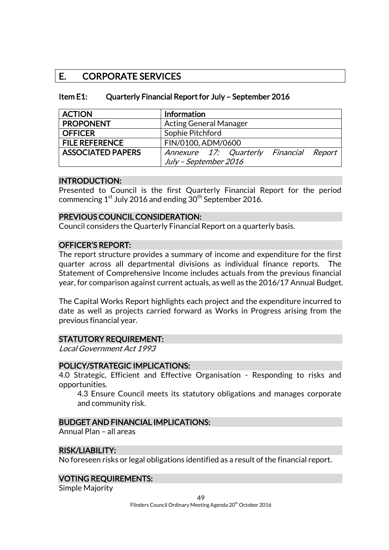## E. CORPORATE SERVICES

| Item E1: | Quarterly Financial Report for July - September 2016 |
|----------|------------------------------------------------------|
|----------|------------------------------------------------------|

| <b>ACTION</b>            | Information                             |  |  |
|--------------------------|-----------------------------------------|--|--|
| <b>PROPONENT</b>         | <b>Acting General Manager</b>           |  |  |
| <b>OFFICER</b>           | Sophie Pitchford                        |  |  |
| <b>FILE REFERENCE</b>    | FIN/0100, ADM/0600                      |  |  |
| <b>ASSOCIATED PAPERS</b> | Annexure 17: Quarterly Financial Report |  |  |
|                          | July - September 2016                   |  |  |

#### INTRODUCTION:

Presented to Council is the first Quarterly Financial Report for the period commencing  $1^{st}$  July 2016 and ending  $30^{th}$  September 2016.

#### PREVIOUS COUNCIL CONSIDERATION:

Council considers the Quarterly Financial Report on a quarterly basis.

#### OFFICER'S REPORT:

The report structure provides a summary of income and expenditure for the first quarter across all departmental divisions as individual finance reports. The Statement of Comprehensive Income includes actuals from the previous financial year, for comparison against current actuals, as well as the 2016/17 Annual Budget.

The Capital Works Report highlights each project and the expenditure incurred to date as well as projects carried forward as Works in Progress arising from the previous financial year.

#### STATUTORY REQUIREMENT:

Local Government Act 1993

#### POLICY/STRATEGIC IMPLICATIONS:

4.0 Strategic, Efficient and Effective Organisation - Responding to risks and opportunities.

4.3 Ensure Council meets its statutory obligations and manages corporate and community risk.

#### BUDGET AND FINANCIAL IMPLICATIONS:

Annual Plan – all areas

#### RISK/LIABILITY:

No foreseen risks or legal obligations identified as a result of the financial report.

#### VOTING REQUIREMENTS:

Simple Majority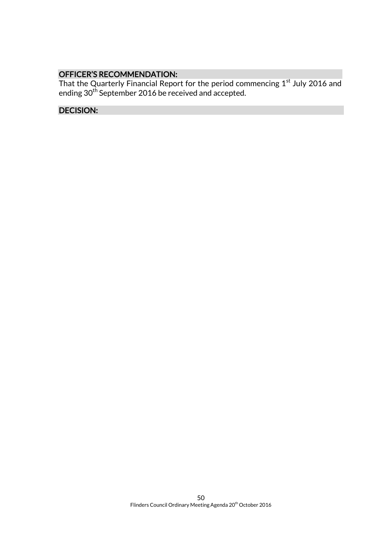#### OFFICER'S RECOMMENDATION:

That the Quarterly Financial Report for the period commencing  $1^\mathrm{st}$  July 2016 and ending 30<sup>th</sup> September 2016 be received and accepted.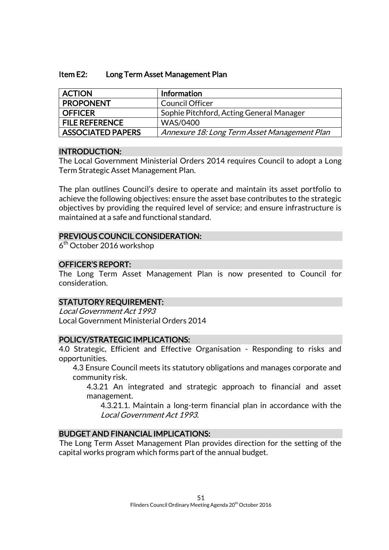#### Item E2: Long Term Asset Management Plan

| <b>ACTION</b>            | Information                                  |
|--------------------------|----------------------------------------------|
| <b>PROPONENT</b>         | <b>Council Officer</b>                       |
| <b>OFFICER</b>           | Sophie Pitchford, Acting General Manager     |
| <b>FILE REFERENCE</b>    | WAS/0400                                     |
| <b>ASSOCIATED PAPERS</b> | Annexure 18: Long Term Asset Management Plan |

#### INTRODUCTION:

The Local Government Ministerial Orders 2014 requires Council to adopt a Long Term Strategic Asset Management Plan.

The plan outlines Council's desire to operate and maintain its asset portfolio to achieve the following objectives: ensure the asset base contributes to the strategic objectives by providing the required level of service; and ensure infrastructure is maintained at a safe and functional standard.

#### PREVIOUS COUNCIL CONSIDERATION:

6<sup>th</sup> October 2016 workshop

#### OFFICER'S REPORT:

The Long Term Asset Management Plan is now presented to Council for consideration.

#### STATUTORY REQUIREMENT:

Local Government Act 1993 Local Government Ministerial Orders 2014

#### POLICY/STRATEGIC IMPLICATIONS:

4.0 Strategic, Efficient and Effective Organisation - Responding to risks and opportunities.

4.3 Ensure Council meets its statutory obligations and manages corporate and community risk.

4.3.21 An integrated and strategic approach to financial and asset management.

4.3.21.1. Maintain a long-term financial plan in accordance with the Local Government Act 1993.

#### BUDGET AND FINANCIAL IMPLICATIONS:

The Long Term Asset Management Plan provides direction for the setting of the capital works program which forms part of the annual budget.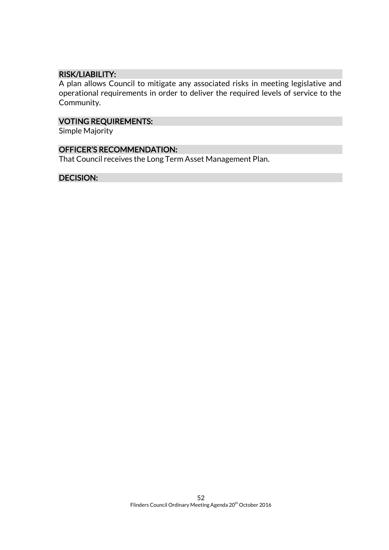#### RISK/LIABILITY:

A plan allows Council to mitigate any associated risks in meeting legislative and operational requirements in order to deliver the required levels of service to the Community.

#### VOTING REQUIREMENTS:

Simple Majority

#### OFFICER'S RECOMMENDATION:

That Council receives the Long Term Asset Management Plan.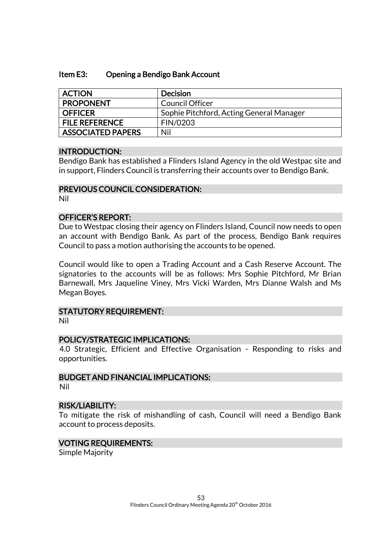#### Item E3: Opening a Bendigo Bank Account

| <b>ACTION</b>            | <b>Decision</b>                          |
|--------------------------|------------------------------------------|
| <b>PROPONENT</b>         | <b>Council Officer</b>                   |
| <b>OFFICER</b>           | Sophie Pitchford, Acting General Manager |
| <b>FILE REFERENCE</b>    | FIN/0203                                 |
| <b>ASSOCIATED PAPERS</b> | Nil                                      |

#### INTRODUCTION:

Bendigo Bank has established a Flinders Island Agency in the old Westpac site and in support, Flinders Council is transferring their accounts over to Bendigo Bank.

#### PREVIOUS COUNCIL CONSIDERATION:

Nil

#### OFFICER'S REPORT:

Due to Westpac closing their agency on Flinders Island, Council now needs to open an account with Bendigo Bank. As part of the process, Bendigo Bank requires Council to pass a motion authorising the accounts to be opened.

Council would like to open a Trading Account and a Cash Reserve Account. The signatories to the accounts will be as follows: Mrs Sophie Pitchford, Mr Brian Barnewall, Mrs Jaqueline Viney, Mrs Vicki Warden, Mrs Dianne Walsh and Ms Megan Boyes.

#### STATUTORY REQUIREMENT:

Nil

#### POLICY/STRATEGIC IMPLICATIONS:

4.0 Strategic, Efficient and Effective Organisation - Responding to risks and opportunities.

#### BUDGET AND FINANCIAL IMPLICATIONS:

Nil

#### RISK/LIABILITY:

To mitigate the risk of mishandling of cash, Council will need a Bendigo Bank account to process deposits.

#### VOTING REQUIREMENTS:

Simple Majority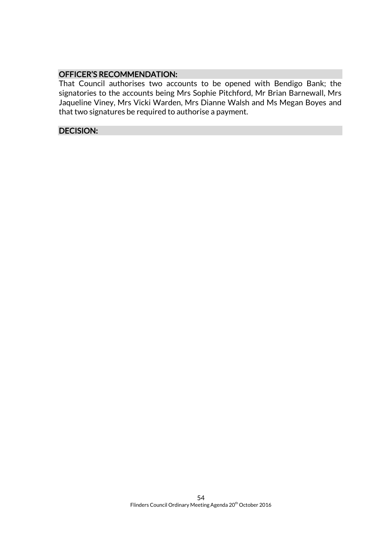#### OFFICER'S RECOMMENDATION:

That Council authorises two accounts to be opened with Bendigo Bank; the signatories to the accounts being Mrs Sophie Pitchford, Mr Brian Barnewall, Mrs Jaqueline Viney, Mrs Vicki Warden, Mrs Dianne Walsh and Ms Megan Boyes and that two signatures be required to authorise a payment.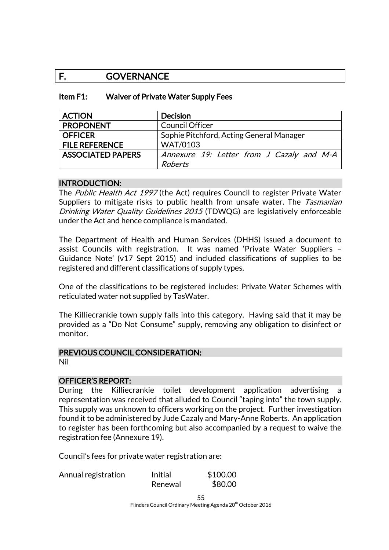## F. GOVERNANCE

| Item F1: | Waiver of Private Water Supply Fees |
|----------|-------------------------------------|
|----------|-------------------------------------|

| <b>ACTION</b>            | <b>Decision</b>                           |
|--------------------------|-------------------------------------------|
| <b>PROPONENT</b>         | <b>Council Officer</b>                    |
| <b>OFFICER</b>           | Sophie Pitchford, Acting General Manager  |
| <b>FILE REFERENCE</b>    | <b>WAT/0103</b>                           |
| <b>ASSOCIATED PAPERS</b> | Annexure 19: Letter from J Cazaly and M-A |
|                          | <b>Roberts</b>                            |

#### INTRODUCTION:

The Public Health Act 1997 (the Act) requires Council to register Private Water Suppliers to mitigate risks to public health from unsafe water. The Tasmanian Drinking Water Quality Guidelines 2015 (TDWQG) are legislatively enforceable under the Act and hence compliance is mandated.

The Department of Health and Human Services (DHHS) issued a document to assist Councils with registration. It was named 'Private Water Suppliers – Guidance Note' (v17 Sept 2015) and included classifications of supplies to be registered and different classifications of supply types.

One of the classifications to be registered includes: Private Water Schemes with reticulated water not supplied by TasWater.

The Killiecrankie town supply falls into this category. Having said that it may be provided as a "Do Not Consume" supply, removing any obligation to disinfect or monitor.

#### PREVIOUS COUNCIL CONSIDERATION:

Nil

#### OFFICER'S REPORT:

During the Killiecrankie toilet development application advertising a representation was received that alluded to Council "taping into" the town supply. This supply was unknown to officers working on the project. Further investigation found it to be administered by Jude Cazaly and Mary-Anne Roberts. An application to register has been forthcoming but also accompanied by a request to waive the registration fee (Annexure 19).

Council's fees for private water registration are:

| Annual registration | Initial | \$100.00 |
|---------------------|---------|----------|
|                     | Renewal | \$80.00  |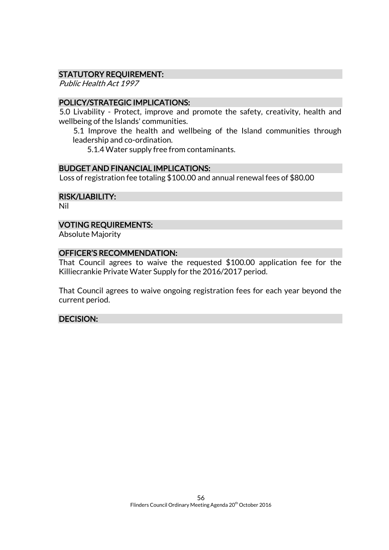#### STATUTORY REQUIREMENT:

Public Health Act 1997

#### POLICY/STRATEGIC IMPLICATIONS:

5.0 Livability - Protect, improve and promote the safety, creativity, health and wellbeing of the Islands' communities.

5.1 Improve the health and wellbeing of the Island communities through leadership and co-ordination.

5.1.4 Water supply free from contaminants.

#### BUDGET AND FINANCIAL IMPLICATIONS:

Loss of registration fee totaling \$100.00 and annual renewal fees of \$80.00

RISK/LIABILITY:

Nil

#### VOTING REQUIREMENTS:

Absolute Majority

#### OFFICER'S RECOMMENDATION:

That Council agrees to waive the requested \$100.00 application fee for the Killiecrankie Private Water Supply for the 2016/2017 period.

That Council agrees to waive ongoing registration fees for each year beyond the current period.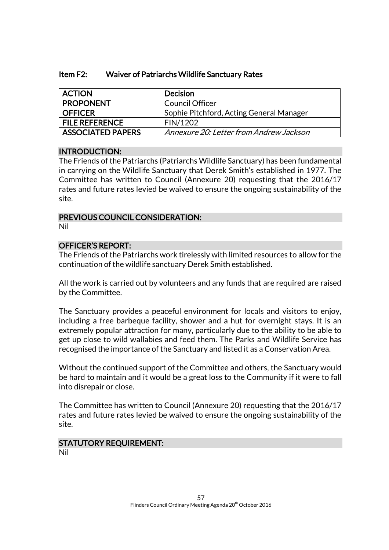| Item F2: | Waiver of Patriarchs Wildlife Sanctuary Rates |
|----------|-----------------------------------------------|
|----------|-----------------------------------------------|

| <b>ACTION</b>            | <b>Decision</b>                          |
|--------------------------|------------------------------------------|
| <b>PROPONENT</b>         | Council Officer                          |
| <b>OFFICER</b>           | Sophie Pitchford, Acting General Manager |
| <b>FILE REFERENCE</b>    | FIN/1202                                 |
| <b>ASSOCIATED PAPERS</b> | Annexure 20: Letter from Andrew Jackson  |

#### INTRODUCTION:

The Friends of the Patriarchs (Patriarchs Wildlife Sanctuary) has been fundamental in carrying on the Wildlife Sanctuary that Derek Smith's established in 1977. The Committee has written to Council (Annexure 20) requesting that the 2016/17 rates and future rates levied be waived to ensure the ongoing sustainability of the site.

#### PREVIOUS COUNCIL CONSIDERATION:

Nil

#### OFFICER'S REPORT:

The Friends of the Patriarchs work tirelessly with limited resources to allow for the continuation of the wildlife sanctuary Derek Smith established.

All the work is carried out by volunteers and any funds that are required are raised by the Committee.

The Sanctuary provides a peaceful environment for locals and visitors to enjoy, including a free barbeque facility, shower and a hut for overnight stays. It is an extremely popular attraction for many, particularly due to the ability to be able to get up close to wild wallabies and feed them. The Parks and Wildlife Service has recognised the importance of the Sanctuary and listed it as a Conservation Area.

Without the continued support of the Committee and others, the Sanctuary would be hard to maintain and it would be a great loss to the Community if it were to fall into disrepair or close.

The Committee has written to Council (Annexure 20) requesting that the 2016/17 rates and future rates levied be waived to ensure the ongoing sustainability of the site.

## STATUTORY REQUIREMENT:

Nil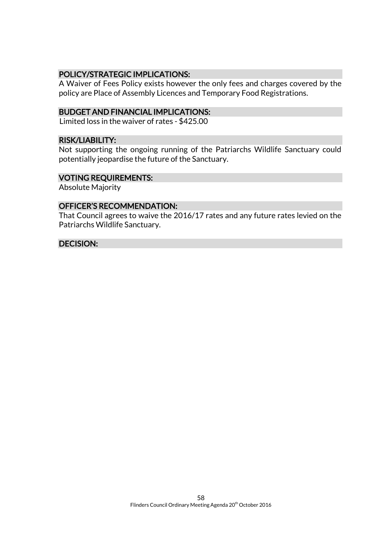#### POLICY/STRATEGIC IMPLICATIONS:

A Waiver of Fees Policy exists however the only fees and charges covered by the policy are Place of Assembly Licences and Temporary Food Registrations.

#### BUDGET AND FINANCIAL IMPLICATIONS:

Limited loss in the waiver of rates - \$425.00

#### RISK/LIABILITY:

Not supporting the ongoing running of the Patriarchs Wildlife Sanctuary could potentially jeopardise the future of the Sanctuary.

#### VOTING REQUIREMENTS:

Absolute Majority

#### OFFICER'S RECOMMENDATION:

That Council agrees to waive the 2016/17 rates and any future rates levied on the Patriarchs Wildlife Sanctuary.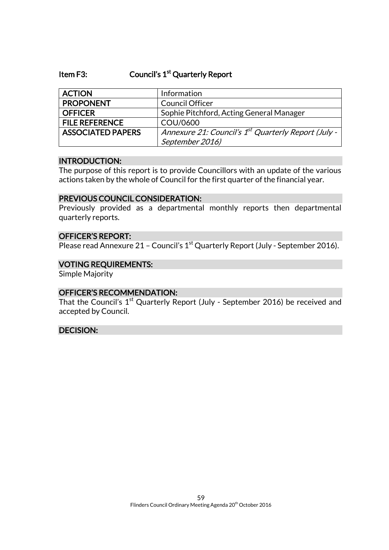#### Item F3: Council's 1<sup>st</sup> Quarterly Report

| <b>ACTION</b>            | Information                                                     |
|--------------------------|-----------------------------------------------------------------|
| <b>PROPONENT</b>         | <b>Council Officer</b>                                          |
| <b>OFFICER</b>           | Sophie Pitchford, Acting General Manager                        |
| <b>FILE REFERENCE</b>    | COU/0600                                                        |
| <b>ASSOCIATED PAPERS</b> | Annexure 21: Council's 1 <sup>st</sup> Quarterly Report (July - |
|                          | September 2016)                                                 |

#### INTRODUCTION:

The purpose of this report is to provide Councillors with an update of the various actions taken by the whole of Council for the first quarter of the financial year.

#### PREVIOUS COUNCIL CONSIDERATION:

Previously provided as a departmental monthly reports then departmental quarterly reports.

#### OFFICER'S REPORT:

Please read Annexure 21 - Council's 1<sup>st</sup> Quarterly Report (July - September 2016).

#### VOTING REQUIREMENTS:

Simple Majority

#### OFFICER'S RECOMMENDATION:

That the Council's  $1^\text{st}$  Quarterly Report (July - September 2016) be received and accepted by Council.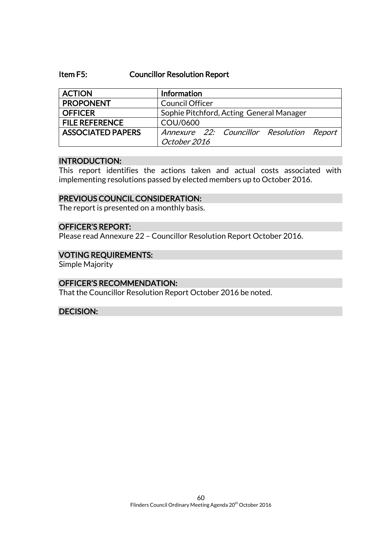#### Item F5: Councillor Resolution Report

| <b>ACTION</b>            | Information                                               |
|--------------------------|-----------------------------------------------------------|
| <b>PROPONENT</b>         | <b>Council Officer</b>                                    |
| <b>OFFICER</b>           | Sophie Pitchford, Acting General Manager                  |
| <b>FILE REFERENCE</b>    | COU/0600                                                  |
| <b>ASSOCIATED PAPERS</b> | Annexure 22: Councillor Resolution Report<br>October 2016 |

#### INTRODUCTION:

This report identifies the actions taken and actual costs associated with implementing resolutions passed by elected members up to October 2016.

#### PREVIOUS COUNCIL CONSIDERATION:

The report is presented on a monthly basis.

#### OFFICER'S REPORT:

Please read Annexure 22 – Councillor Resolution Report October 2016.

#### VOTING REQUIREMENTS:

Simple Majority

#### OFFICER'S RECOMMENDATION:

That the Councillor Resolution Report October 2016 be noted.